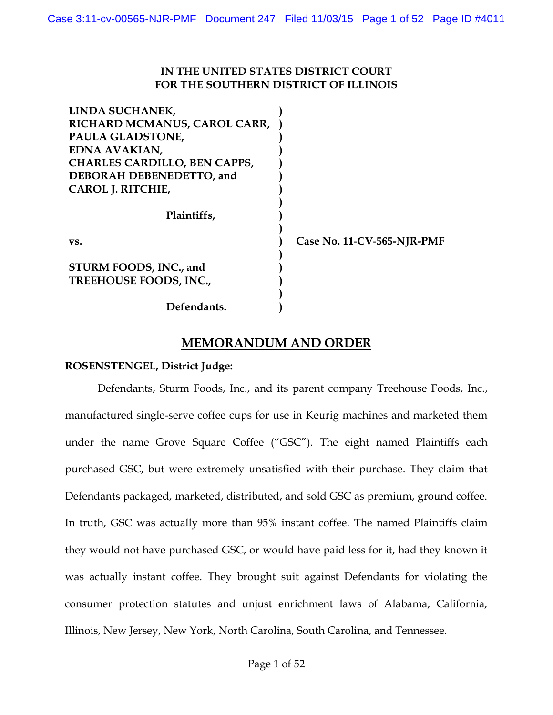# **IN THE UNITED STATES DISTRICT COURT FOR THE SOUTHERN DISTRICT OF ILLINOIS**

| LINDA SUCHANEK,                                  |                            |
|--------------------------------------------------|----------------------------|
| RICHARD MCMANUS, CAROL CARR,                     |                            |
| PAULA GLADSTONE,                                 |                            |
| EDNA AVAKIAN,                                    |                            |
| <b>CHARLES CARDILLO, BEN CAPPS,</b>              |                            |
| DEBORAH DEBENEDETTO, and                         |                            |
| CAROL J. RITCHIE,                                |                            |
| Plaintiffs,                                      |                            |
| VS.                                              | Case No. 11-CV-565-NJR-PMF |
| STURM FOODS, INC., and<br>TREEHOUSE FOODS, INC., |                            |
| Defendants.                                      |                            |

# **MEMORANDUM AND ORDER**

### **ROSENSTENGEL, District Judge:**

Defendants, Sturm Foods, Inc., and its parent company Treehouse Foods, Inc., manufactured single-serve coffee cups for use in Keurig machines and marketed them under the name Grove Square Coffee ("GSC"). The eight named Plaintiffs each purchased GSC, but were extremely unsatisfied with their purchase. They claim that Defendants packaged, marketed, distributed, and sold GSC as premium, ground coffee. In truth, GSC was actually more than 95% instant coffee. The named Plaintiffs claim they would not have purchased GSC, or would have paid less for it, had they known it was actually instant coffee. They brought suit against Defendants for violating the consumer protection statutes and unjust enrichment laws of Alabama, California, Illinois, New Jersey, New York, North Carolina, South Carolina, and Tennessee.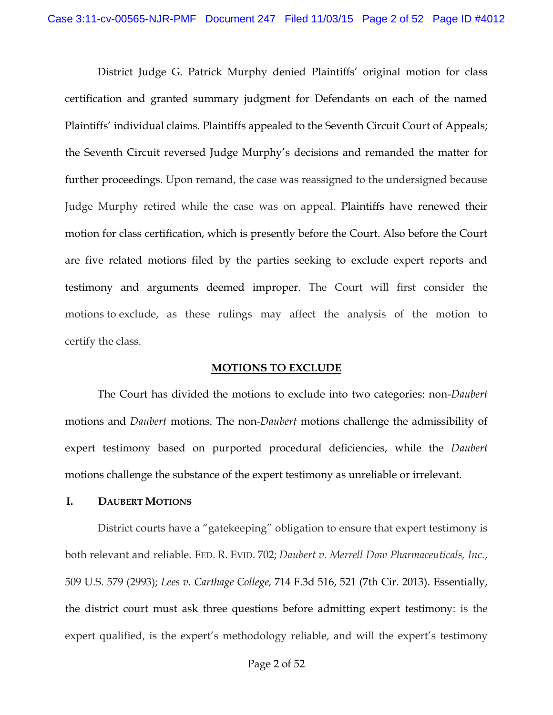District Judge G. Patrick Murphy denied Plaintiffs' original motion for class certification and granted summary judgment for Defendants on each of the named Plaintiffs' individual claims. Plaintiffs appealed to the Seventh Circuit Court of Appeals; the Seventh Circuit reversed Judge Murphy's decisions and remanded the matter for further proceedings. Upon remand, the case was reassigned to the undersigned because Judge Murphy retired while the case was on appeal. Plaintiffs have renewed their motion for class certification, which is presently before the Court. Also before the Court are five related motions filed by the parties seeking to exclude expert reports and testimony and arguments deemed improper. The Court will first consider the motions to exclude, as these rulings may affect the analysis of the motion to certify the class.

#### **MOTIONS TO EXCLUDE**

The Court has divided the motions to exclude into two categories: non-*Daubert*  motions and *Daubert* motions. The non-*Daubert* motions challenge the admissibility of expert testimony based on purported procedural deficiencies, while the *Daubert*  motions challenge the substance of the expert testimony as unreliable or irrelevant.

#### **I. DAUBERT MOTIONS**

District courts have a "gatekeeping" obligation to ensure that expert testimony is both relevant and reliable. FED. R. EVID. 702; *Daubert v*. *Merrell Dow Pharmaceuticals, Inc.*, 509 U.S. 579 (2993); *Lees v. Carthage College,* 714 F.3d 516, 521 (7th Cir. 2013). Essentially, the district court must ask three questions before admitting expert testimony: is the expert qualified, is the expert's methodology reliable, and will the expert's testimony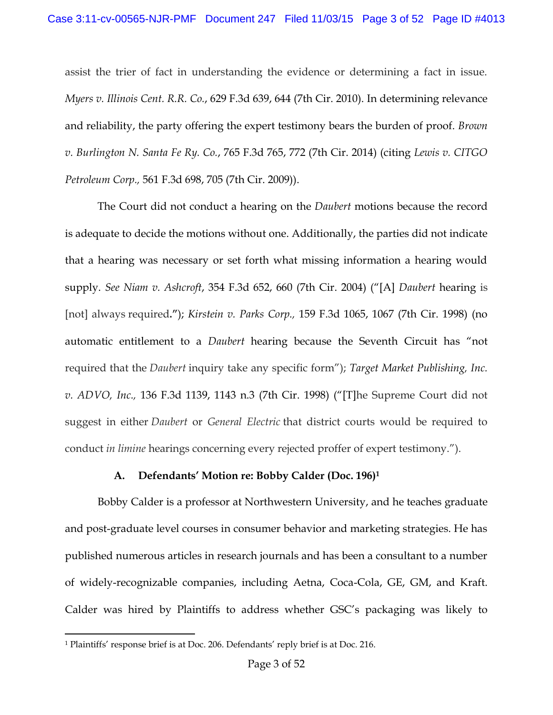assist the trier of fact in understanding the evidence or determining a fact in issue. *Myers v. Illinois Cent. R.R. Co.*, 629 F.3d 639, 644 (7th Cir. 2010). In determining relevance and reliability, the party offering the expert testimony bears the burden of proof. *Brown v. Burlington N. Santa Fe Ry. Co.*, 765 F.3d 765, 772 (7th Cir. 2014) (citing *Lewis v. CITGO Petroleum Corp.,* 561 F.3d 698, 705 (7th Cir. 2009)).

The Court did not conduct a hearing on the *Daubert* motions because the record is adequate to decide the motions without one. Additionally, the parties did not indicate that a hearing was necessary or set forth what missing information a hearing would supply. *See Niam v. Ashcroft*, 354 F.3d 652, 660 (7th Cir. 2004) ("[A] *Daubert* hearing is [not] always required**."**); *Kirstein v. Parks Corp.,* 159 F.3d 1065, 1067 (7th Cir. 1998) (no automatic entitlement to a *Daubert* hearing because the Seventh Circuit has "not required that the *Daubert* inquiry take any specific form"); *Target Market Publishing, Inc. v. ADVO, Inc.,* 136 F.3d 1139, 1143 n.3 (7th Cir. 1998) ("[T]he Supreme Court did not suggest in either *Daubert* or *General Electric* that district courts would be required to conduct *in limine* hearings concerning every rejected proffer of expert testimony.").

### **A. Defendants' Motion re: Bobby Calder (Doc. 196)<sup>1</sup>**

Bobby Calder is a professor at Northwestern University, and he teaches graduate and post-graduate level courses in consumer behavior and marketing strategies. He has published numerous articles in research journals and has been a consultant to a number of widely-recognizable companies, including Aetna, Coca-Cola, GE, GM, and Kraft. Calder was hired by Plaintiffs to address whether GSC's packaging was likely to

l

<sup>1</sup> Plaintiffs' response brief is at Doc. 206. Defendants' reply brief is at Doc. 216.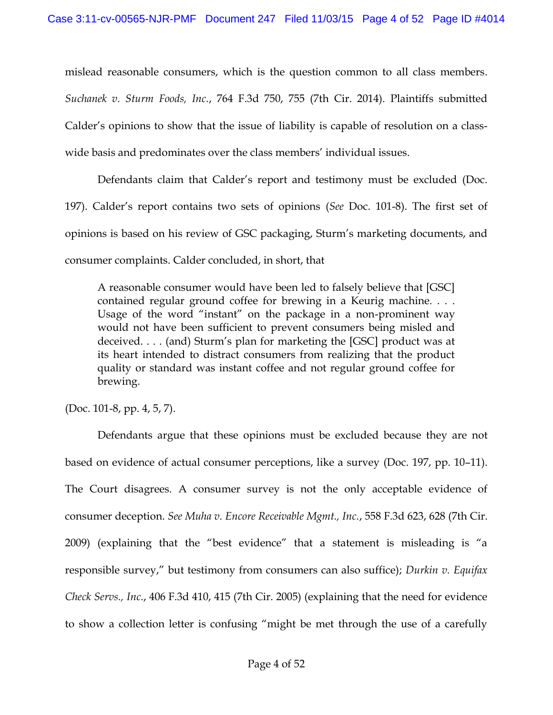mislead reasonable consumers, which is the question common to all class members. *Suchanek v. Sturm Foods, Inc.*, 764 F.3d 750, 755 (7th Cir. 2014). Plaintiffs submitted Calder's opinions to show that the issue of liability is capable of resolution on a classwide basis and predominates over the class members' individual issues.

Defendants claim that Calder's report and testimony must be excluded (Doc. 197). Calder's report contains two sets of opinions (*See* Doc. 101-8). The first set of opinions is based on his review of GSC packaging, Sturm's marketing documents, and consumer complaints. Calder concluded, in short, that

A reasonable consumer would have been led to falsely believe that [GSC] contained regular ground coffee for brewing in a Keurig machine. . . . Usage of the word "instant" on the package in a non-prominent way would not have been sufficient to prevent consumers being misled and deceived. . . . (and) Sturm's plan for marketing the [GSC] product was at its heart intended to distract consumers from realizing that the product quality or standard was instant coffee and not regular ground coffee for brewing.

(Doc. 101-8, pp. 4, 5, 7).

Defendants argue that these opinions must be excluded because they are not based on evidence of actual consumer perceptions, like a survey (Doc. 197, pp. 10–11). The Court disagrees. A consumer survey is not the only acceptable evidence of consumer deception. *See Muha v. Encore Receivable Mgmt., Inc.*, 558 F.3d 623, 628 (7th Cir. 2009) (explaining that the "best evidence" that a statement is misleading is "a responsible survey," but testimony from consumers can also suffice); *Durkin v. Equifax Check Servs., Inc.*, 406 F.3d 410, 415 (7th Cir. 2005) (explaining that the need for evidence to show a collection letter is confusing "might be met through the use of a carefully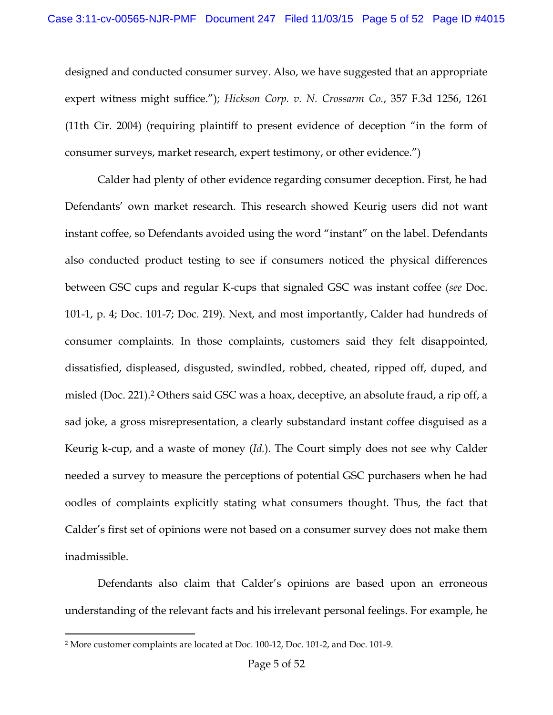designed and conducted consumer survey. Also, we have suggested that an appropriate expert witness might suffice."); *Hickson Corp. v. N. Crossarm Co.*, 357 F.3d 1256, 1261 (11th Cir. 2004) (requiring plaintiff to present evidence of deception "in the form of consumer surveys, market research, expert testimony, or other evidence.")

Calder had plenty of other evidence regarding consumer deception. First, he had Defendants' own market research. This research showed Keurig users did not want instant coffee, so Defendants avoided using the word "instant" on the label. Defendants also conducted product testing to see if consumers noticed the physical differences between GSC cups and regular K-cups that signaled GSC was instant coffee (*see* Doc. 101-1, p. 4; Doc. 101-7; Doc. 219). Next, and most importantly, Calder had hundreds of consumer complaints. In those complaints, customers said they felt disappointed, dissatisfied, displeased, disgusted, swindled, robbed, cheated, ripped off, duped, and misled (Doc. 221).<sup>2</sup> Others said GSC was a hoax, deceptive, an absolute fraud, a rip off, a sad joke, a gross misrepresentation, a clearly substandard instant coffee disguised as a Keurig k-cup, and a waste of money (*Id.*). The Court simply does not see why Calder needed a survey to measure the perceptions of potential GSC purchasers when he had oodles of complaints explicitly stating what consumers thought. Thus, the fact that Calder's first set of opinions were not based on a consumer survey does not make them inadmissible.

Defendants also claim that Calder's opinions are based upon an erroneous understanding of the relevant facts and his irrelevant personal feelings. For example, he

l

<sup>2</sup> More customer complaints are located at Doc. 100-12, Doc. 101-2, and Doc. 101-9.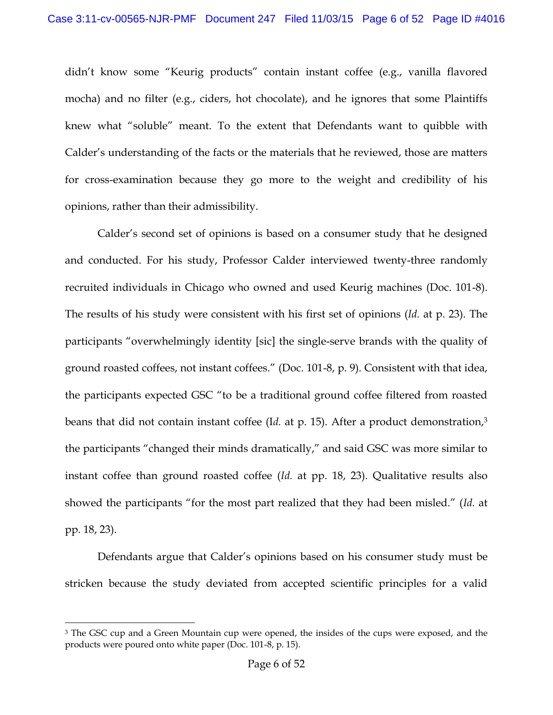didn't know some "Keurig products" contain instant coffee (e.g., vanilla flavored mocha) and no filter (e.g., ciders, hot chocolate), and he ignores that some Plaintiffs knew what "soluble" meant. To the extent that Defendants want to quibble with Calder's understanding of the facts or the materials that he reviewed, those are matters for cross-examination because they go more to the weight and credibility of his opinions, rather than their admissibility.

Calder's second set of opinions is based on a consumer study that he designed and conducted. For his study, Professor Calder interviewed twenty-three randomly recruited individuals in Chicago who owned and used Keurig machines (Doc. 101-8). The results of his study were consistent with his first set of opinions (*Id.* at p. 23). The participants "overwhelmingly identity [sic] the single-serve brands with the quality of ground roasted coffees, not instant coffees." (Doc. 101-8, p. 9). Consistent with that idea, the participants expected GSC "to be a traditional ground coffee filtered from roasted beans that did not contain instant coffee (Id. at p. 15). After a product demonstration,<sup>3</sup> the participants "changed their minds dramatically," and said GSC was more similar to instant coffee than ground roasted coffee (*Id.* at pp. 18, 23). Qualitative results also showed the participants "for the most part realized that they had been misled." (*Id.* at pp. 18, 23).

Defendants argue that Calder's opinions based on his consumer study must be stricken because the study deviated from accepted scientific principles for a valid

 $\overline{a}$ 

<sup>&</sup>lt;sup>3</sup> The GSC cup and a Green Mountain cup were opened, the insides of the cups were exposed, and the products were poured onto white paper (Doc. 101-8, p. 15).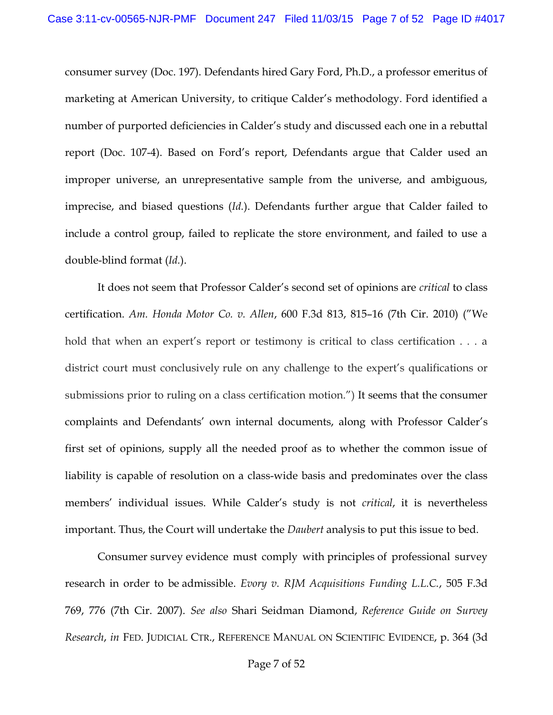consumer survey (Doc. 197). Defendants hired Gary Ford, Ph.D., a professor emeritus of marketing at American University, to critique Calder's methodology. Ford identified a number of purported deficiencies in Calder's study and discussed each one in a rebuttal report (Doc. 107-4). Based on Ford's report, Defendants argue that Calder used an improper universe, an unrepresentative sample from the universe, and ambiguous, imprecise, and biased questions (*Id.*). Defendants further argue that Calder failed to include a control group, failed to replicate the store environment, and failed to use a double-blind format (*Id.*).

It does not seem that Professor Calder's second set of opinions are *critical* to class certification. *Am. Honda Motor Co. v. Allen*, 600 F.3d 813, 815–16 (7th Cir. 2010) ("We hold that when an expert's report or testimony is critical to class certification . . . a district court must conclusively rule on any challenge to the expert's qualifications or submissions prior to ruling on a class certification motion.") It seems that the consumer complaints and Defendants' own internal documents, along with Professor Calder's first set of opinions, supply all the needed proof as to whether the common issue of liability is capable of resolution on a class-wide basis and predominates over the class members' individual issues. While Calder's study is not *critical*, it is nevertheless important. Thus, the Court will undertake the *Daubert* analysis to put this issue to bed.

Consumer survey evidence must comply with principles of professional survey research in order to be admissible. *Evory v. RJM Acquisitions Funding L.L.C.*, 505 F.3d 769, 776 (7th Cir. 2007). *See also* Shari Seidman Diamond, *Reference Guide on Survey Research*, *in* FED. JUDICIAL CTR., REFERENCE MANUAL ON SCIENTIFIC EVIDENCE, p. 364 (3d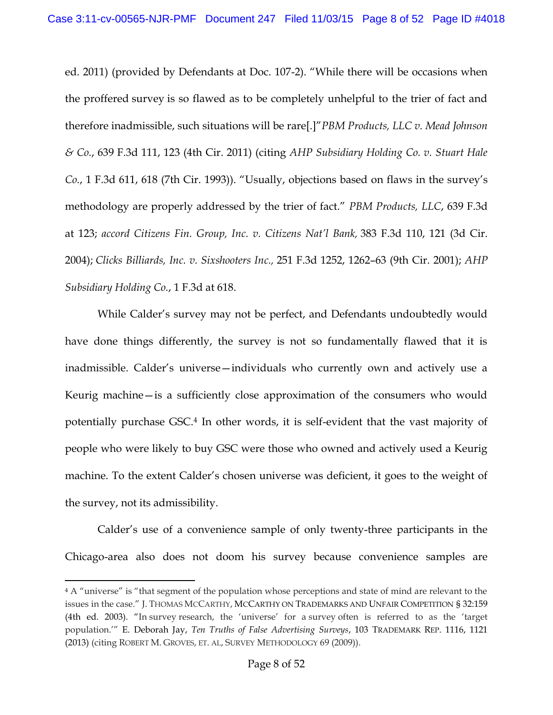ed. 2011) (provided by Defendants at Doc. 107-2). "While there will be occasions when the proffered survey is so flawed as to be completely unhelpful to the trier of fact and therefore inadmissible, such situations will be rare[.]"*PBM Products, LLC v. Mead Johnson & Co.*, 639 F.3d 111, 123 (4th Cir. 2011) (citing *AHP Subsidiary Holding Co. v. Stuart Hale Co.*, 1 F.3d 611, 618 (7th Cir. 1993)). "Usually, objections based on flaws in the survey's methodology are properly addressed by the trier of fact." *PBM Products, LLC*, 639 F.3d at 123; *accord Citizens Fin. Group, Inc. v. Citizens Nat'l Bank,* 383 F.3d 110, 121 (3d Cir. 2004); *Clicks Billiards, Inc. v. Sixshooters Inc.,* 251 F.3d 1252, 1262–63 (9th Cir. 2001); *AHP Subsidiary Holding Co.*, 1 F.3d at 618.

While Calder's survey may not be perfect, and Defendants undoubtedly would have done things differently, the survey is not so fundamentally flawed that it is inadmissible. Calder's universe—individuals who currently own and actively use a Keurig machine—is a sufficiently close approximation of the consumers who would potentially purchase GSC.<sup>4</sup> In other words, it is self-evident that the vast majority of people who were likely to buy GSC were those who owned and actively used a Keurig machine. To the extent Calder's chosen universe was deficient, it goes to the weight of the survey, not its admissibility.

Calder's use of a convenience sample of only twenty-three participants in the Chicago-area also does not doom his survey because convenience samples are

<sup>&</sup>lt;sup>4</sup> A "universe" is "that segment of the population whose perceptions and state of mind are relevant to the issues in the case." J. THOMAS MCCARTHY, MCCARTHY ON TRADEMARKS AND UNFAIR COMPETITION § 32:159 (4th ed. 2003). "In survey research, the 'universe' for a survey often is referred to as the 'target population.'" E. Deborah Jay, *Ten Truths of False Advertising Surveys*, 103 TRADEMARK REP. 1116, 1121 (2013) (citing ROBERT M. GROVES, ET. AL, SURVEY METHODOLOGY 69 (2009)).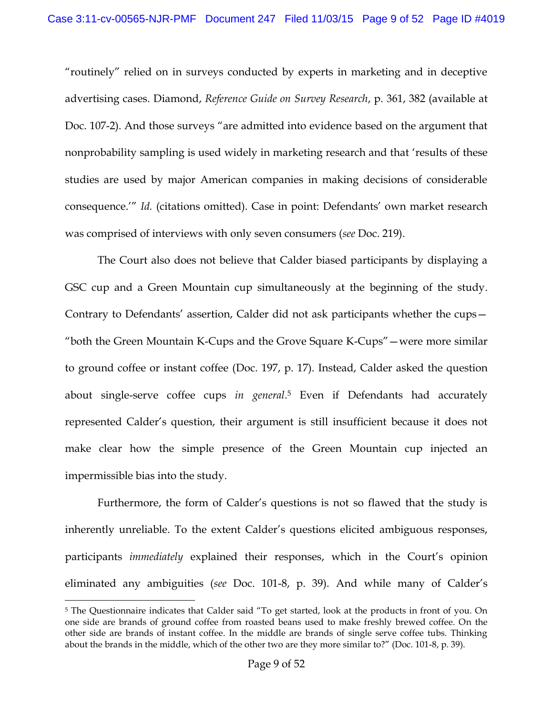"routinely" relied on in surveys conducted by experts in marketing and in deceptive advertising cases. Diamond, *Reference Guide on Survey Research*, p. 361, 382 (available at Doc. 107-2). And those surveys "are admitted into evidence based on the argument that nonprobability sampling is used widely in marketing research and that 'results of these studies are used by major American companies in making decisions of considerable consequence.'" *Id.* (citations omitted). Case in point: Defendants' own market research was comprised of interviews with only seven consumers (*see* Doc. 219).

The Court also does not believe that Calder biased participants by displaying a GSC cup and a Green Mountain cup simultaneously at the beginning of the study. Contrary to Defendants' assertion, Calder did not ask participants whether the cups— "both the Green Mountain K-Cups and the Grove Square K-Cups"—were more similar to ground coffee or instant coffee (Doc. 197, p. 17). Instead, Calder asked the question about single-serve coffee cups *in general*. <sup>5</sup> Even if Defendants had accurately represented Calder's question, their argument is still insufficient because it does not make clear how the simple presence of the Green Mountain cup injected an impermissible bias into the study.

Furthermore, the form of Calder's questions is not so flawed that the study is inherently unreliable. To the extent Calder's questions elicited ambiguous responses, participants *immediately* explained their responses, which in the Court's opinion eliminated any ambiguities (*see* Doc. 101-8, p. 39). And while many of Calder's

<sup>5</sup> The Questionnaire indicates that Calder said "To get started, look at the products in front of you. On one side are brands of ground coffee from roasted beans used to make freshly brewed coffee. On the other side are brands of instant coffee. In the middle are brands of single serve coffee tubs. Thinking about the brands in the middle, which of the other two are they more similar to?" (Doc. 101-8, p. 39).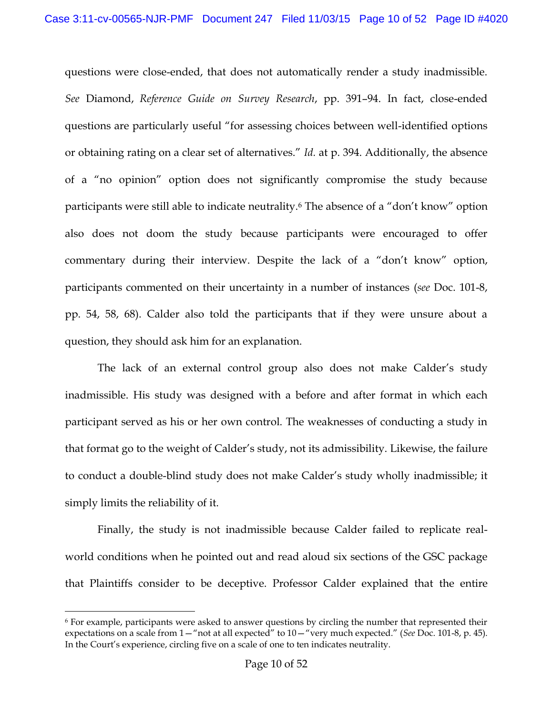questions were close-ended, that does not automatically render a study inadmissible. *See* Diamond, *Reference Guide on Survey Research*, pp. 391–94. In fact, close-ended questions are particularly useful "for assessing choices between well-identified options or obtaining rating on a clear set of alternatives." *Id.* at p. 394. Additionally, the absence of a "no opinion" option does not significantly compromise the study because participants were still able to indicate neutrality.<sup>6</sup> The absence of a "don't know" option also does not doom the study because participants were encouraged to offer commentary during their interview. Despite the lack of a "don't know" option, participants commented on their uncertainty in a number of instances (*see* Doc. 101-8, pp. 54, 58, 68). Calder also told the participants that if they were unsure about a question, they should ask him for an explanation.

The lack of an external control group also does not make Calder's study inadmissible. His study was designed with a before and after format in which each participant served as his or her own control. The weaknesses of conducting a study in that format go to the weight of Calder's study, not its admissibility. Likewise, the failure to conduct a double-blind study does not make Calder's study wholly inadmissible; it simply limits the reliability of it.

Finally, the study is not inadmissible because Calder failed to replicate realworld conditions when he pointed out and read aloud six sections of the GSC package that Plaintiffs consider to be deceptive. Professor Calder explained that the entire

<sup>6</sup> For example, participants were asked to answer questions by circling the number that represented their expectations on a scale from 1—"not at all expected" to 10—"very much expected." (*See* Doc. 101-8, p. 45). In the Court's experience, circling five on a scale of one to ten indicates neutrality.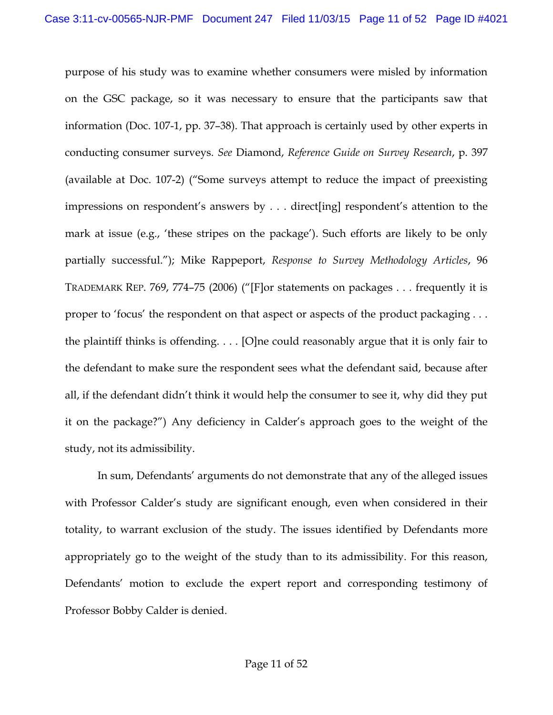purpose of his study was to examine whether consumers were misled by information on the GSC package, so it was necessary to ensure that the participants saw that information (Doc. 107-1, pp. 37–38). That approach is certainly used by other experts in conducting consumer surveys. *See* Diamond, *Reference Guide on Survey Research*, p. 397 (available at Doc. 107-2) ("Some surveys attempt to reduce the impact of preexisting impressions on respondent's answers by . . . direct[ing] respondent's attention to the mark at issue (e.g., 'these stripes on the package'). Such efforts are likely to be only partially successful."); Mike Rappeport, *Response to Survey Methodology Articles*, 96 TRADEMARK REP. 769, 774–75 (2006) ("[F]or statements on packages . . . frequently it is proper to 'focus' the respondent on that aspect or aspects of the product packaging . . . the plaintiff thinks is offending. . . . [O]ne could reasonably argue that it is only fair to the defendant to make sure the respondent sees what the defendant said, because after all, if the defendant didn't think it would help the consumer to see it, why did they put it on the package?") Any deficiency in Calder's approach goes to the weight of the study, not its admissibility.

In sum, Defendants' arguments do not demonstrate that any of the alleged issues with Professor Calder's study are significant enough, even when considered in their totality, to warrant exclusion of the study. The issues identified by Defendants more appropriately go to the weight of the study than to its admissibility. For this reason, Defendants' motion to exclude the expert report and corresponding testimony of Professor Bobby Calder is denied.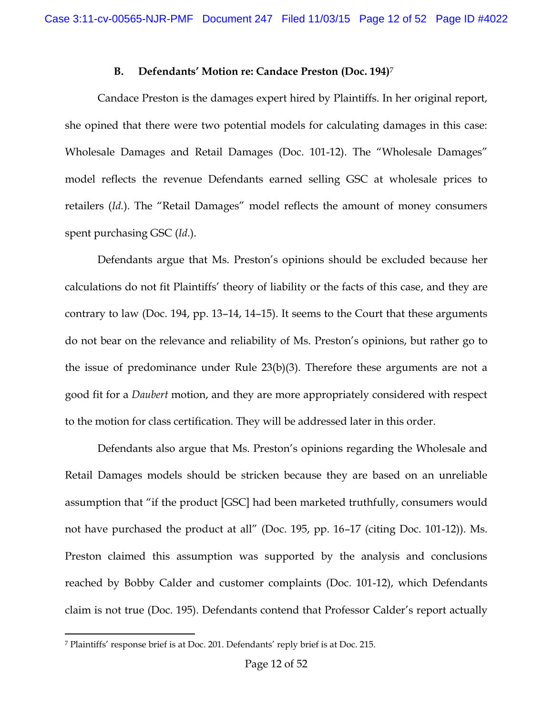### **B. Defendants' Motion re: Candace Preston (Doc. 194)**<sup>7</sup>

Candace Preston is the damages expert hired by Plaintiffs. In her original report, she opined that there were two potential models for calculating damages in this case: Wholesale Damages and Retail Damages (Doc. 101-12). The "Wholesale Damages" model reflects the revenue Defendants earned selling GSC at wholesale prices to retailers (*Id.*). The "Retail Damages" model reflects the amount of money consumers spent purchasing GSC (*Id.*).

Defendants argue that Ms. Preston's opinions should be excluded because her calculations do not fit Plaintiffs' theory of liability or the facts of this case, and they are contrary to law (Doc. 194, pp. 13–14, 14–15). It seems to the Court that these arguments do not bear on the relevance and reliability of Ms. Preston's opinions, but rather go to the issue of predominance under Rule 23(b)(3). Therefore these arguments are not a good fit for a *Daubert* motion, and they are more appropriately considered with respect to the motion for class certification. They will be addressed later in this order.

Defendants also argue that Ms. Preston's opinions regarding the Wholesale and Retail Damages models should be stricken because they are based on an unreliable assumption that "if the product [GSC] had been marketed truthfully, consumers would not have purchased the product at all" (Doc. 195, pp. 16–17 (citing Doc. 101-12)). Ms. Preston claimed this assumption was supported by the analysis and conclusions reached by Bobby Calder and customer complaints (Doc. 101-12), which Defendants claim is not true (Doc. 195). Defendants contend that Professor Calder's report actually

l <sup>7</sup> Plaintiffs' response brief is at Doc. 201. Defendants' reply brief is at Doc. 215.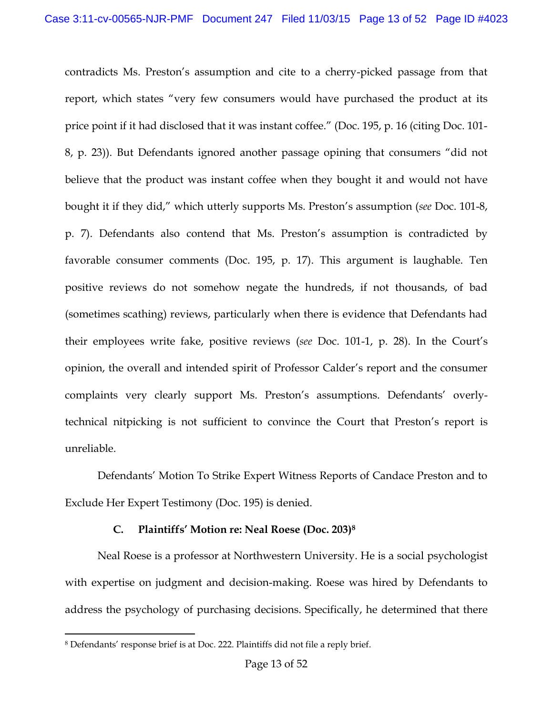contradicts Ms. Preston's assumption and cite to a cherry-picked passage from that report, which states "very few consumers would have purchased the product at its price point if it had disclosed that it was instant coffee." (Doc. 195, p. 16 (citing Doc. 101- 8, p. 23)). But Defendants ignored another passage opining that consumers "did not believe that the product was instant coffee when they bought it and would not have bought it if they did," which utterly supports Ms. Preston's assumption (*see* Doc. 101-8, p. 7). Defendants also contend that Ms. Preston's assumption is contradicted by favorable consumer comments (Doc. 195, p. 17). This argument is laughable. Ten positive reviews do not somehow negate the hundreds, if not thousands, of bad (sometimes scathing) reviews, particularly when there is evidence that Defendants had their employees write fake, positive reviews (*see* Doc. 101-1, p. 28). In the Court's opinion, the overall and intended spirit of Professor Calder's report and the consumer complaints very clearly support Ms. Preston's assumptions. Defendants' overlytechnical nitpicking is not sufficient to convince the Court that Preston's report is unreliable.

Defendants' Motion To Strike Expert Witness Reports of Candace Preston and to Exclude Her Expert Testimony (Doc. 195) is denied.

# **C. Plaintiffs' Motion re: Neal Roese (Doc. 203)<sup>8</sup>**

Neal Roese is a professor at Northwestern University. He is a social psychologist with expertise on judgment and decision-making. Roese was hired by Defendants to address the psychology of purchasing decisions. Specifically, he determined that there

l <sup>8</sup> Defendants' response brief is at Doc. 222. Plaintiffs did not file a reply brief.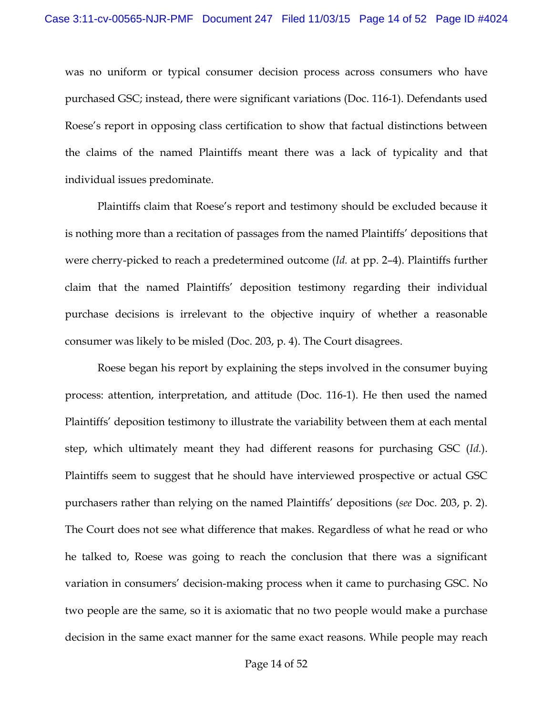was no uniform or typical consumer decision process across consumers who have purchased GSC; instead, there were significant variations (Doc. 116-1). Defendants used Roese's report in opposing class certification to show that factual distinctions between the claims of the named Plaintiffs meant there was a lack of typicality and that individual issues predominate.

Plaintiffs claim that Roese's report and testimony should be excluded because it is nothing more than a recitation of passages from the named Plaintiffs' depositions that were cherry-picked to reach a predetermined outcome (*Id.* at pp. 2–4). Plaintiffs further claim that the named Plaintiffs' deposition testimony regarding their individual purchase decisions is irrelevant to the objective inquiry of whether a reasonable consumer was likely to be misled (Doc. 203, p. 4). The Court disagrees.

Roese began his report by explaining the steps involved in the consumer buying process: attention, interpretation, and attitude (Doc. 116-1). He then used the named Plaintiffs' deposition testimony to illustrate the variability between them at each mental step, which ultimately meant they had different reasons for purchasing GSC (*Id.*). Plaintiffs seem to suggest that he should have interviewed prospective or actual GSC purchasers rather than relying on the named Plaintiffs' depositions (*see* Doc. 203, p. 2). The Court does not see what difference that makes. Regardless of what he read or who he talked to, Roese was going to reach the conclusion that there was a significant variation in consumers' decision-making process when it came to purchasing GSC. No two people are the same, so it is axiomatic that no two people would make a purchase decision in the same exact manner for the same exact reasons. While people may reach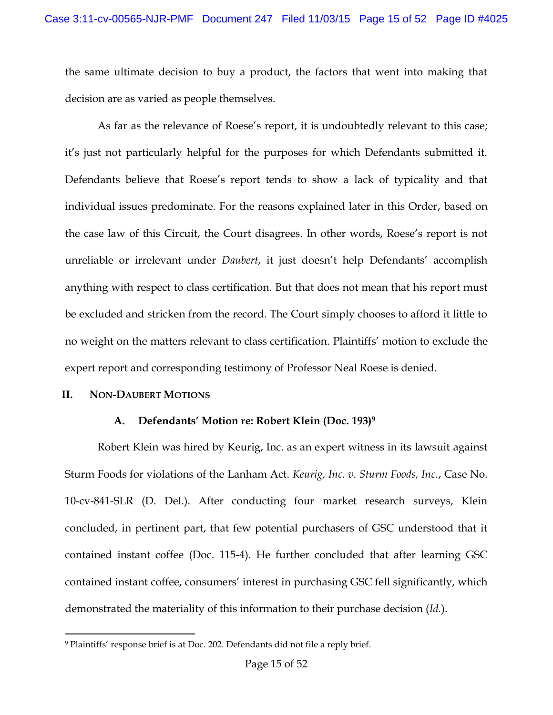the same ultimate decision to buy a product, the factors that went into making that decision are as varied as people themselves.

As far as the relevance of Roese's report, it is undoubtedly relevant to this case; it's just not particularly helpful for the purposes for which Defendants submitted it. Defendants believe that Roese's report tends to show a lack of typicality and that individual issues predominate. For the reasons explained later in this Order, based on the case law of this Circuit, the Court disagrees. In other words, Roese's report is not unreliable or irrelevant under *Daubert*, it just doesn't help Defendants' accomplish anything with respect to class certification. But that does not mean that his report must be excluded and stricken from the record. The Court simply chooses to afford it little to no weight on the matters relevant to class certification. Plaintiffs' motion to exclude the expert report and corresponding testimony of Professor Neal Roese is denied.

# **II. NON-DAUBERT MOTIONS**

# **A. Defendants' Motion re: Robert Klein (Doc. 193)<sup>9</sup>**

Robert Klein was hired by Keurig, Inc. as an expert witness in its lawsuit against Sturm Foods for violations of the Lanham Act. *Keurig, Inc. v. Sturm Foods, Inc.*, Case No. 10-cv-841-SLR (D. Del.). After conducting four market research surveys, Klein concluded, in pertinent part, that few potential purchasers of GSC understood that it contained instant coffee (Doc. 115-4). He further concluded that after learning GSC contained instant coffee, consumers' interest in purchasing GSC fell significantly, which demonstrated the materiality of this information to their purchase decision (*Id.*).

l <sup>9</sup> Plaintiffs' response brief is at Doc. 202. Defendants did not file a reply brief.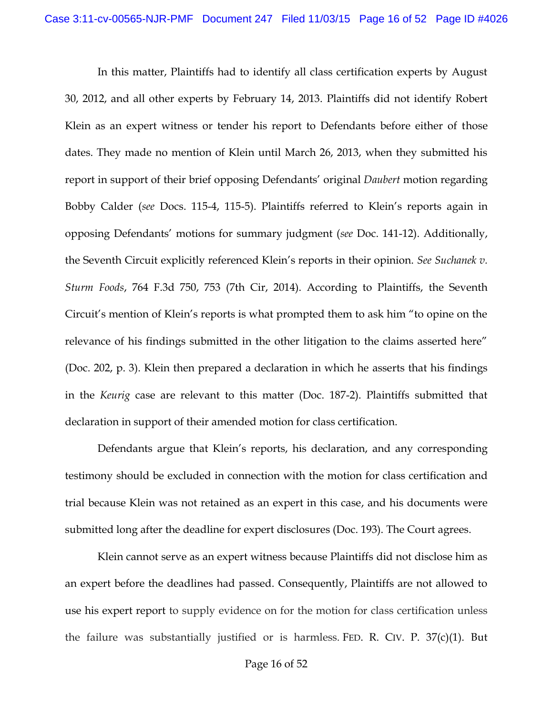In this matter, Plaintiffs had to identify all class certification experts by August 30, 2012, and all other experts by February 14, 2013. Plaintiffs did not identify Robert Klein as an expert witness or tender his report to Defendants before either of those dates. They made no mention of Klein until March 26, 2013, when they submitted his report in support of their brief opposing Defendants' original *Daubert* motion regarding Bobby Calder (*see* Docs. 115-4, 115-5). Plaintiffs referred to Klein's reports again in opposing Defendants' motions for summary judgment (*see* Doc. 141-12). Additionally, the Seventh Circuit explicitly referenced Klein's reports in their opinion. *See Suchanek v. Sturm Foods*, 764 F.3d 750, 753 (7th Cir, 2014). According to Plaintiffs, the Seventh Circuit's mention of Klein's reports is what prompted them to ask him "to opine on the relevance of his findings submitted in the other litigation to the claims asserted here" (Doc. 202, p. 3). Klein then prepared a declaration in which he asserts that his findings in the *Keurig* case are relevant to this matter (Doc. 187-2). Plaintiffs submitted that declaration in support of their amended motion for class certification.

Defendants argue that Klein's reports, his declaration, and any corresponding testimony should be excluded in connection with the motion for class certification and trial because Klein was not retained as an expert in this case, and his documents were submitted long after the deadline for expert disclosures (Doc. 193). The Court agrees.

Klein cannot serve as an expert witness because Plaintiffs did not disclose him as an expert before the deadlines had passed. Consequently, Plaintiffs are not allowed to use his expert report to supply evidence on for the motion for class certification unless the failure was substantially justified or is harmless. FED. R. CIV. P. 37(c)(1). But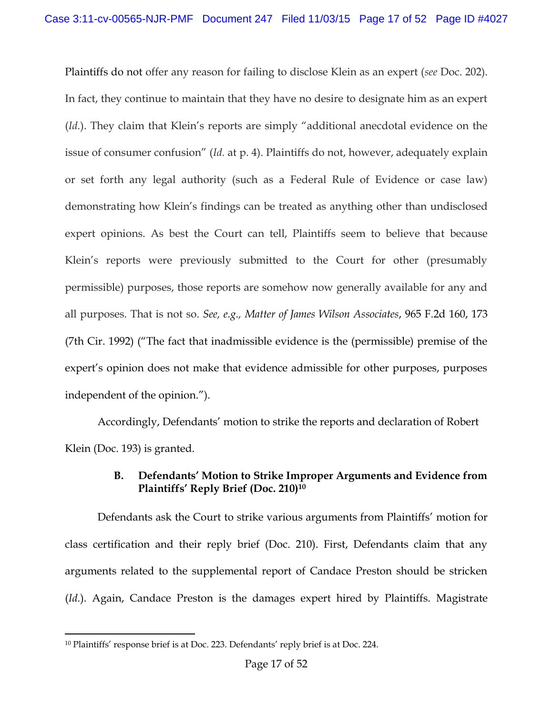Plaintiffs do not offer any reason for failing to disclose Klein as an expert (*see* Doc. 202). In fact, they continue to maintain that they have no desire to designate him as an expert (*Id.*). They claim that Klein's reports are simply "additional anecdotal evidence on the issue of consumer confusion" (*Id.* at p. 4). Plaintiffs do not, however, adequately explain or set forth any legal authority (such as a Federal Rule of Evidence or case law) demonstrating how Klein's findings can be treated as anything other than undisclosed expert opinions. As best the Court can tell, Plaintiffs seem to believe that because Klein's reports were previously submitted to the Court for other (presumably permissible) purposes, those reports are somehow now generally available for any and all purposes. That is not so. *See, e.g., Matter of James Wilson Associates*, 965 F.2d 160, 173 (7th Cir. 1992) ("The fact that inadmissible evidence is the (permissible) premise of the expert's opinion does not make that evidence admissible for other purposes, purposes independent of the opinion.").

Accordingly, Defendants' motion to strike the reports and declaration of Robert Klein (Doc. 193) is granted.

# **B. Defendants' Motion to Strike Improper Arguments and Evidence from Plaintiffs' Reply Brief (Doc. 210)<sup>10</sup>**

Defendants ask the Court to strike various arguments from Plaintiffs' motion for class certification and their reply brief (Doc. 210). First, Defendants claim that any arguments related to the supplemental report of Candace Preston should be stricken (*Id.*). Again, Candace Preston is the damages expert hired by Plaintiffs. Magistrate

l <sup>10</sup> Plaintiffs' response brief is at Doc. 223. Defendants' reply brief is at Doc. 224.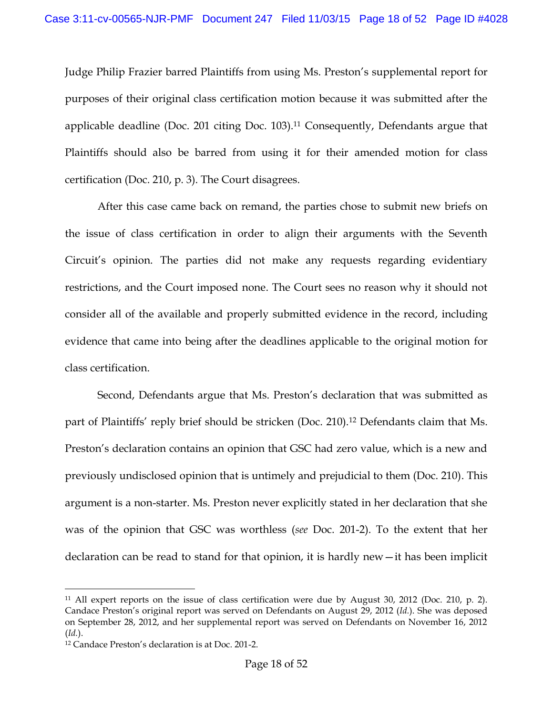Judge Philip Frazier barred Plaintiffs from using Ms. Preston's supplemental report for purposes of their original class certification motion because it was submitted after the applicable deadline (Doc. 201 citing Doc. 103).<sup>11</sup> Consequently, Defendants argue that Plaintiffs should also be barred from using it for their amended motion for class certification (Doc. 210, p. 3). The Court disagrees.

After this case came back on remand, the parties chose to submit new briefs on the issue of class certification in order to align their arguments with the Seventh Circuit's opinion. The parties did not make any requests regarding evidentiary restrictions, and the Court imposed none. The Court sees no reason why it should not consider all of the available and properly submitted evidence in the record, including evidence that came into being after the deadlines applicable to the original motion for class certification.

Second, Defendants argue that Ms. Preston's declaration that was submitted as part of Plaintiffs' reply brief should be stricken (Doc. 210).<sup>12</sup> Defendants claim that Ms. Preston's declaration contains an opinion that GSC had zero value, which is a new and previously undisclosed opinion that is untimely and prejudicial to them (Doc. 210). This argument is a non-starter. Ms. Preston never explicitly stated in her declaration that she was of the opinion that GSC was worthless (*see* Doc. 201-2). To the extent that her declaration can be read to stand for that opinion, it is hardly new—it has been implicit

<sup>11</sup> All expert reports on the issue of class certification were due by August 30, 2012 (Doc. 210, p. 2). Candace Preston's original report was served on Defendants on August 29, 2012 (*Id.*). She was deposed on September 28, 2012, and her supplemental report was served on Defendants on November 16, 2012 (*Id.*).

<sup>12</sup> Candace Preston's declaration is at Doc. 201-2.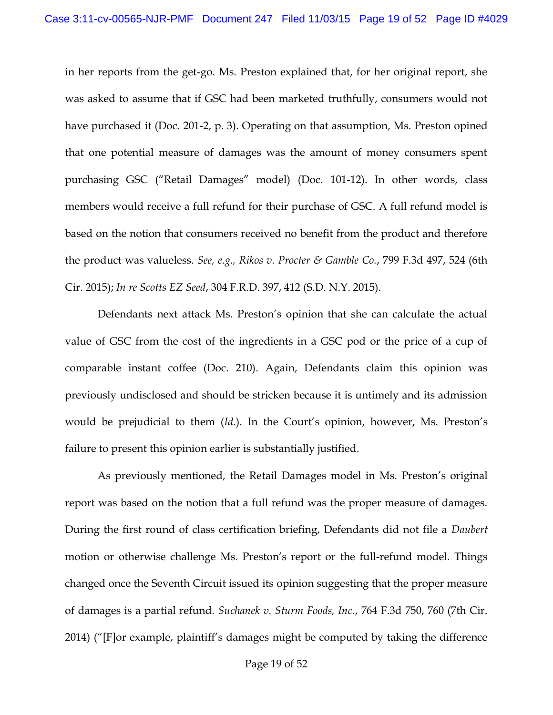in her reports from the get-go. Ms. Preston explained that, for her original report, she was asked to assume that if GSC had been marketed truthfully, consumers would not have purchased it (Doc. 201-2, p. 3). Operating on that assumption, Ms. Preston opined that one potential measure of damages was the amount of money consumers spent purchasing GSC ("Retail Damages" model) (Doc. 101-12). In other words, class members would receive a full refund for their purchase of GSC. A full refund model is based on the notion that consumers received no benefit from the product and therefore the product was valueless. *See, e.g., Rikos v. Procter & Gamble Co.*, 799 F.3d 497, 524 (6th Cir. 2015); *In re Scotts EZ Seed*, 304 F.R.D. 397, 412 (S.D. N.Y. 2015).

Defendants next attack Ms. Preston's opinion that she can calculate the actual value of GSC from the cost of the ingredients in a GSC pod or the price of a cup of comparable instant coffee (Doc. 210). Again, Defendants claim this opinion was previously undisclosed and should be stricken because it is untimely and its admission would be prejudicial to them (*Id.*). In the Court's opinion, however, Ms. Preston's failure to present this opinion earlier is substantially justified.

As previously mentioned, the Retail Damages model in Ms. Preston's original report was based on the notion that a full refund was the proper measure of damages. During the first round of class certification briefing, Defendants did not file a *Daubert*  motion or otherwise challenge Ms. Preston's report or the full-refund model. Things changed once the Seventh Circuit issued its opinion suggesting that the proper measure of damages is a partial refund. *Suchanek v. Sturm Foods, Inc.*, 764 F.3d 750, 760 (7th Cir. 2014) ("[F]or example, plaintiff's damages might be computed by taking the difference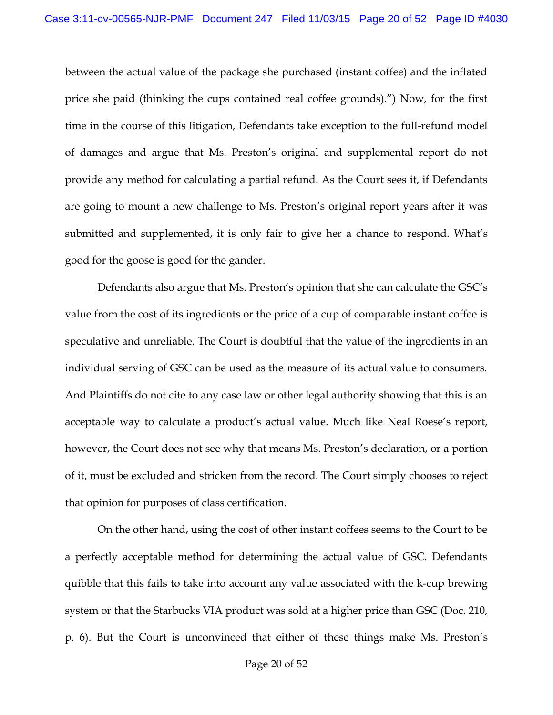between the actual value of the package she purchased (instant coffee) and the inflated price she paid (thinking the cups contained real coffee grounds).") Now, for the first time in the course of this litigation, Defendants take exception to the full-refund model of damages and argue that Ms. Preston's original and supplemental report do not provide any method for calculating a partial refund. As the Court sees it, if Defendants are going to mount a new challenge to Ms. Preston's original report years after it was submitted and supplemented, it is only fair to give her a chance to respond. What's good for the goose is good for the gander.

Defendants also argue that Ms. Preston's opinion that she can calculate the GSC's value from the cost of its ingredients or the price of a cup of comparable instant coffee is speculative and unreliable. The Court is doubtful that the value of the ingredients in an individual serving of GSC can be used as the measure of its actual value to consumers. And Plaintiffs do not cite to any case law or other legal authority showing that this is an acceptable way to calculate a product's actual value. Much like Neal Roese's report, however, the Court does not see why that means Ms. Preston's declaration, or a portion of it, must be excluded and stricken from the record. The Court simply chooses to reject that opinion for purposes of class certification.

On the other hand, using the cost of other instant coffees seems to the Court to be a perfectly acceptable method for determining the actual value of GSC. Defendants quibble that this fails to take into account any value associated with the k-cup brewing system or that the Starbucks VIA product was sold at a higher price than GSC (Doc. 210, p. 6). But the Court is unconvinced that either of these things make Ms. Preston's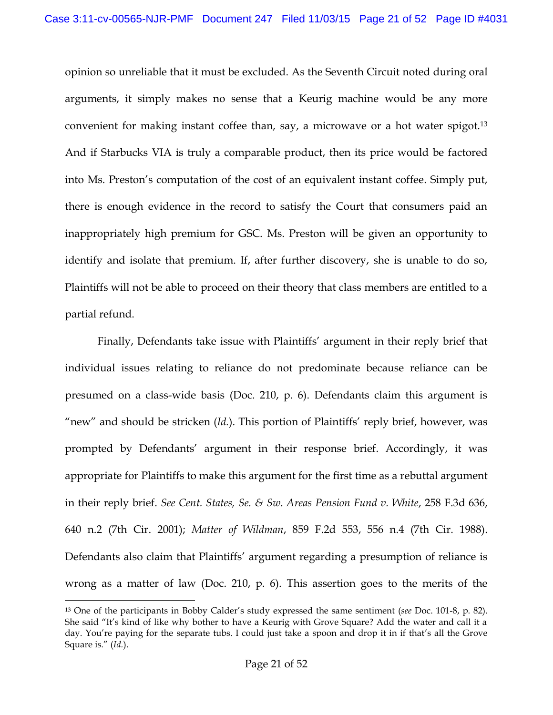opinion so unreliable that it must be excluded. As the Seventh Circuit noted during oral arguments, it simply makes no sense that a Keurig machine would be any more convenient for making instant coffee than, say, a microwave or a hot water spigot.<sup>13</sup> And if Starbucks VIA is truly a comparable product, then its price would be factored into Ms. Preston's computation of the cost of an equivalent instant coffee. Simply put, there is enough evidence in the record to satisfy the Court that consumers paid an inappropriately high premium for GSC. Ms. Preston will be given an opportunity to identify and isolate that premium. If, after further discovery, she is unable to do so, Plaintiffs will not be able to proceed on their theory that class members are entitled to a partial refund.

Finally, Defendants take issue with Plaintiffs' argument in their reply brief that individual issues relating to reliance do not predominate because reliance can be presumed on a class-wide basis (Doc. 210, p. 6). Defendants claim this argument is "new" and should be stricken (*Id.*). This portion of Plaintiffs' reply brief, however, was prompted by Defendants' argument in their response brief. Accordingly, it was appropriate for Plaintiffs to make this argument for the first time as a rebuttal argument in their reply brief. *See Cent. States, Se. & Sw. Areas Pension Fund v. White*, 258 F.3d 636, 640 n.2 (7th Cir. 2001); *Matter of Wildman*, 859 F.2d 553, 556 n.4 (7th Cir. 1988). Defendants also claim that Plaintiffs' argument regarding a presumption of reliance is wrong as a matter of law (Doc. 210, p. 6). This assertion goes to the merits of the

<sup>13</sup> One of the participants in Bobby Calder's study expressed the same sentiment (*see* Doc. 101-8, p. 82). She said "It's kind of like why bother to have a Keurig with Grove Square? Add the water and call it a day. You're paying for the separate tubs. I could just take a spoon and drop it in if that's all the Grove Square is." (*Id.*).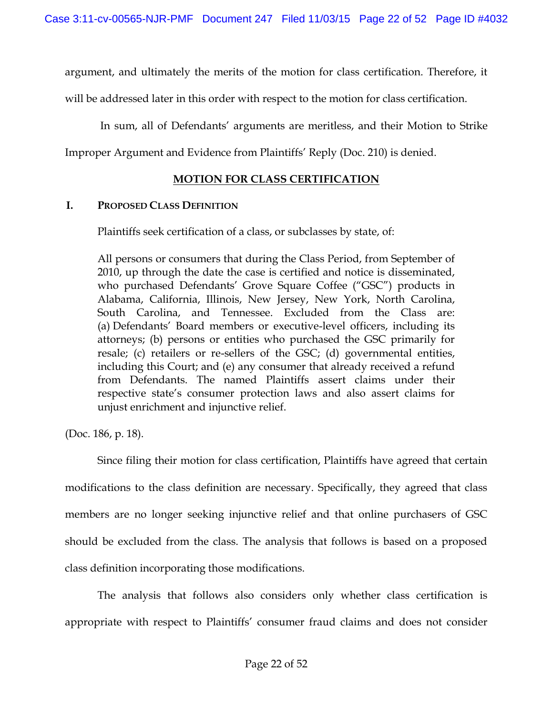argument, and ultimately the merits of the motion for class certification. Therefore, it

will be addressed later in this order with respect to the motion for class certification.

In sum, all of Defendants' arguments are meritless, and their Motion to Strike

Improper Argument and Evidence from Plaintiffs' Reply (Doc. 210) is denied.

# **MOTION FOR CLASS CERTIFICATION**

### **I. PROPOSED CLASS DEFINITION**

Plaintiffs seek certification of a class, or subclasses by state, of:

All persons or consumers that during the Class Period, from September of 2010, up through the date the case is certified and notice is disseminated, who purchased Defendants' Grove Square Coffee ("GSC") products in Alabama, California, Illinois, New Jersey, New York, North Carolina, South Carolina, and Tennessee. Excluded from the Class are: (a) Defendants' Board members or executive-level officers, including its attorneys; (b) persons or entities who purchased the GSC primarily for resale; (c) retailers or re-sellers of the GSC; (d) governmental entities, including this Court; and (e) any consumer that already received a refund from Defendants. The named Plaintiffs assert claims under their respective state's consumer protection laws and also assert claims for unjust enrichment and injunctive relief.

(Doc. 186, p. 18).

Since filing their motion for class certification, Plaintiffs have agreed that certain modifications to the class definition are necessary. Specifically, they agreed that class members are no longer seeking injunctive relief and that online purchasers of GSC should be excluded from the class. The analysis that follows is based on a proposed class definition incorporating those modifications.

The analysis that follows also considers only whether class certification is appropriate with respect to Plaintiffs' consumer fraud claims and does not consider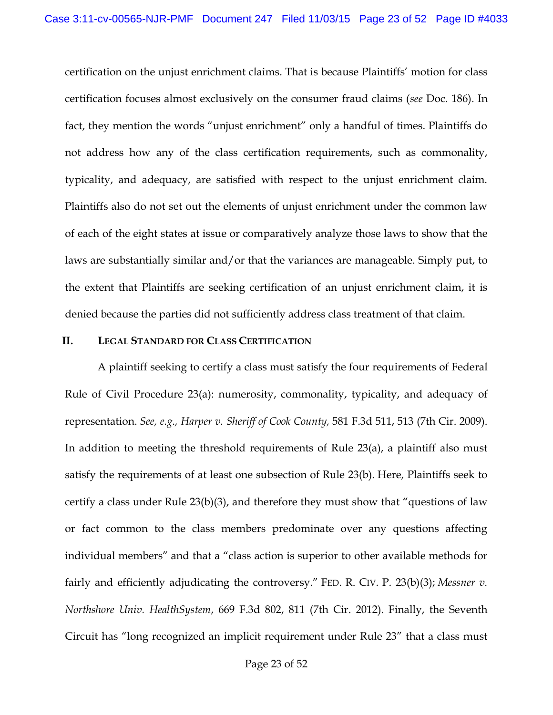certification on the unjust enrichment claims. That is because Plaintiffs' motion for class certification focuses almost exclusively on the consumer fraud claims (*see* Doc. 186). In fact, they mention the words "unjust enrichment" only a handful of times. Plaintiffs do not address how any of the class certification requirements, such as commonality, typicality, and adequacy, are satisfied with respect to the unjust enrichment claim. Plaintiffs also do not set out the elements of unjust enrichment under the common law of each of the eight states at issue or comparatively analyze those laws to show that the laws are substantially similar and/or that the variances are manageable. Simply put, to the extent that Plaintiffs are seeking certification of an unjust enrichment claim, it is denied because the parties did not sufficiently address class treatment of that claim.

#### **II. LEGAL STANDARD FOR CLASS CERTIFICATION**

A plaintiff seeking to certify a class must satisfy the four requirements of Federal Rule of Civil Procedure 23(a): numerosity, commonality, typicality, and adequacy of representation. *See, e.g., Harper v. Sheriff of Cook County,* 581 F.3d 511, 513 (7th Cir. 2009). In addition to meeting the threshold requirements of Rule 23(a), a plaintiff also must satisfy the requirements of at least one subsection of Rule 23(b). Here, Plaintiffs seek to certify a class under Rule 23(b)(3), and therefore they must show that "questions of law or fact common to the class members predominate over any questions affecting individual members" and that a "class action is superior to other available methods for fairly and efficiently adjudicating the controversy." FED. R. CIV. P. 23(b)(3); *Messner v. Northshore Univ. HealthSystem*, 669 F.3d 802, 811 (7th Cir. 2012). Finally, the Seventh Circuit has "long recognized an implicit requirement under Rule 23" that a class must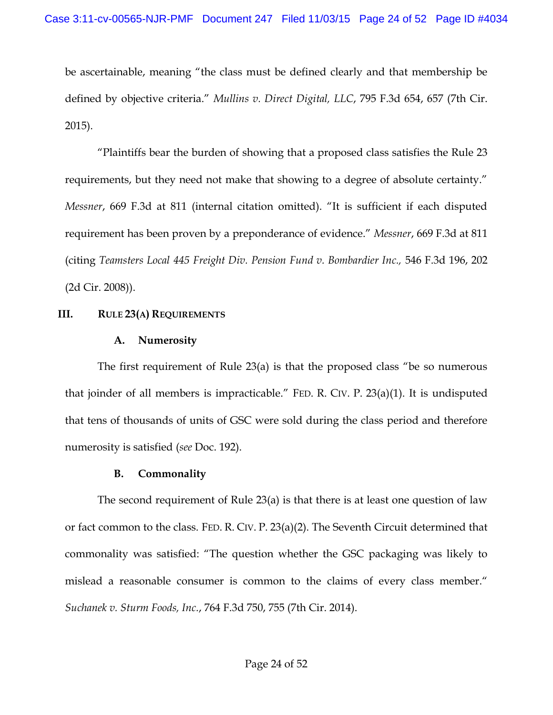be ascertainable, meaning "the class must be defined clearly and that membership be defined by objective criteria." *Mullins v. Direct Digital, LLC*, 795 F.3d 654, 657 (7th Cir. 2015).

"Plaintiffs bear the burden of showing that a proposed class satisfies the Rule 23 requirements, but they need not make that showing to a degree of absolute certainty." *Messner*, 669 F.3d at 811 (internal citation omitted). "It is sufficient if each disputed requirement has been proven by a preponderance of evidence." *Messner*, 669 F.3d at 811 (citing *Teamsters Local 445 Freight Div. Pension Fund v. Bombardier Inc.,* 546 F.3d 196, 202 (2d Cir. 2008)).

# **III. RULE 23(A) REQUIREMENTS**

# **A. Numerosity**

The first requirement of Rule 23(a) is that the proposed class "be so numerous that joinder of all members is impracticable." FED. R. CIV. P. 23(a)(1). It is undisputed that tens of thousands of units of GSC were sold during the class period and therefore numerosity is satisfied (*see* Doc. 192).

# **B. Commonality**

The second requirement of Rule 23(a) is that there is at least one question of law or fact common to the class. FED. R. CIV. P. 23(a)(2). The Seventh Circuit determined that commonality was satisfied: "The question whether the GSC packaging was likely to mislead a reasonable consumer is common to the claims of every class member." *Suchanek v. Sturm Foods, Inc.*, 764 F.3d 750, 755 (7th Cir. 2014).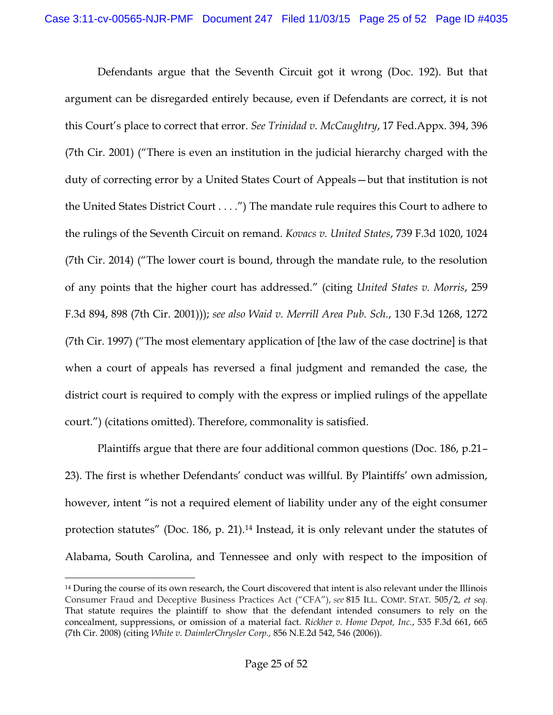Defendants argue that the Seventh Circuit got it wrong (Doc. 192). But that argument can be disregarded entirely because, even if Defendants are correct, it is not this Court's place to correct that error. *See Trinidad v. McCaughtry*, 17 Fed.Appx. 394, 396 (7th Cir. 2001) ("There is even an institution in the judicial hierarchy charged with the duty of correcting error by a United States Court of Appeals—but that institution is not the United States District Court . . . .") The mandate rule requires this Court to adhere to the rulings of the Seventh Circuit on remand. *Kovacs v. United States*, 739 F.3d 1020, 1024 (7th Cir. 2014) ("The lower court is bound, through the mandate rule, to the resolution of any points that the higher court has addressed." (citing *United States v. Morris*, 259 F.3d 894, 898 (7th Cir. 2001))); *see also Waid v. Merrill Area Pub. Sch.*, 130 F.3d 1268, 1272 (7th Cir. 1997) ("The most elementary application of [the law of the case doctrine] is that when a court of appeals has reversed a final judgment and remanded the case, the district court is required to comply with the express or implied rulings of the appellate court.") (citations omitted). Therefore, commonality is satisfied.

Plaintiffs argue that there are four additional common questions (Doc. 186, p.21– 23). The first is whether Defendants' conduct was willful. By Plaintiffs' own admission, however, intent "is not a required element of liability under any of the eight consumer protection statutes" (Doc. 186, p. 21).<sup>14</sup> Instead, it is only relevant under the statutes of Alabama, South Carolina, and Tennessee and only with respect to the imposition of

<sup>&</sup>lt;sup>14</sup> During the course of its own research, the Court discovered that intent is also relevant under the Illinois Consumer Fraud and Deceptive Business Practices Act ("CFA"), *see* 815 ILL. COMP. STAT. 505/2, *et seq*. That statute requires the plaintiff to show that the defendant intended consumers to rely on the concealment, suppressions, or omission of a material fact. *Rickher v. Home Depot, Inc.*, 535 F.3d 661, 665 (7th Cir. 2008) (citing *White v. DaimlerChrysler Corp.,* 856 N.E.2d 542, 546 (2006)).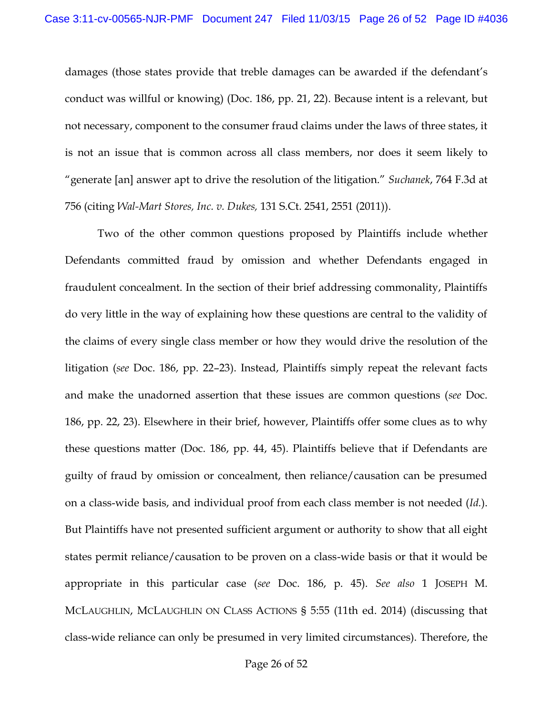damages (those states provide that treble damages can be awarded if the defendant's conduct was willful or knowing) (Doc. 186, pp. 21, 22). Because intent is a relevant, but not necessary, component to the consumer fraud claims under the laws of three states, it is not an issue that is common across all class members, nor does it seem likely to "generate [an] answer apt to drive the resolution of the litigation." *Suchanek*, 764 F.3d at 756 (citing *Wal-Mart Stores, Inc. v. Dukes,* 131 S.Ct. 2541, 2551 (2011)).

Two of the other common questions proposed by Plaintiffs include whether Defendants committed fraud by omission and whether Defendants engaged in fraudulent concealment. In the section of their brief addressing commonality, Plaintiffs do very little in the way of explaining how these questions are central to the validity of the claims of every single class member or how they would drive the resolution of the litigation (*see* Doc. 186, pp. 22–23). Instead, Plaintiffs simply repeat the relevant facts and make the unadorned assertion that these issues are common questions (*see* Doc. 186, pp. 22, 23). Elsewhere in their brief, however, Plaintiffs offer some clues as to why these questions matter (Doc. 186, pp. 44, 45). Plaintiffs believe that if Defendants are guilty of fraud by omission or concealment, then reliance/causation can be presumed on a class-wide basis, and individual proof from each class member is not needed (*Id.*). But Plaintiffs have not presented sufficient argument or authority to show that all eight states permit reliance/causation to be proven on a class-wide basis or that it would be appropriate in this particular case (*see* Doc. 186, p. 45). *See also* 1 JOSEPH M. MCLAUGHLIN, MCLAUGHLIN ON CLASS ACTIONS § 5:55 (11th ed. 2014) (discussing that class-wide reliance can only be presumed in very limited circumstances). Therefore, the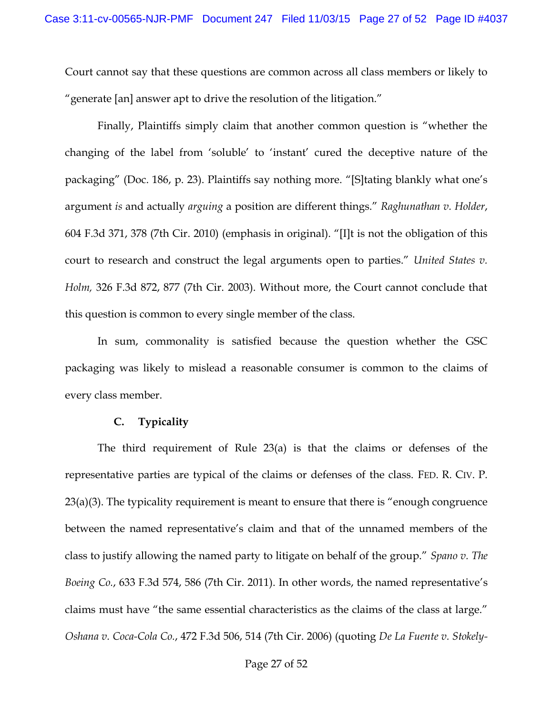Court cannot say that these questions are common across all class members or likely to "generate [an] answer apt to drive the resolution of the litigation."

Finally, Plaintiffs simply claim that another common question is "whether the changing of the label from 'soluble' to 'instant' cured the deceptive nature of the packaging" (Doc. 186, p. 23). Plaintiffs say nothing more. "[S]tating blankly what one's argument *is* and actually *arguing* a position are different things." *Raghunathan v. Holder*, 604 F.3d 371, 378 (7th Cir. 2010) (emphasis in original). "[I]t is not the obligation of this court to research and construct the legal arguments open to parties." *United States v. Holm,* 326 F.3d 872, 877 (7th Cir. 2003). Without more, the Court cannot conclude that this question is common to every single member of the class.

In sum, commonality is satisfied because the question whether the GSC packaging was likely to mislead a reasonable consumer is common to the claims of every class member.

### **C. Typicality**

The third requirement of Rule 23(a) is that the claims or defenses of the representative parties are typical of the claims or defenses of the class. FED. R. CIV. P. 23(a)(3). The typicality requirement is meant to ensure that there is "enough congruence between the named representative's claim and that of the unnamed members of the class to justify allowing the named party to litigate on behalf of the group." *Spano v. The Boeing Co.*, 633 F.3d 574, 586 (7th Cir. 2011). In other words, the named representative's claims must have "the same essential characteristics as the claims of the class at large." *Oshana v. Coca-Cola Co.*, 472 F.3d 506, 514 (7th Cir. 2006) (quoting *De La Fuente v. Stokely-*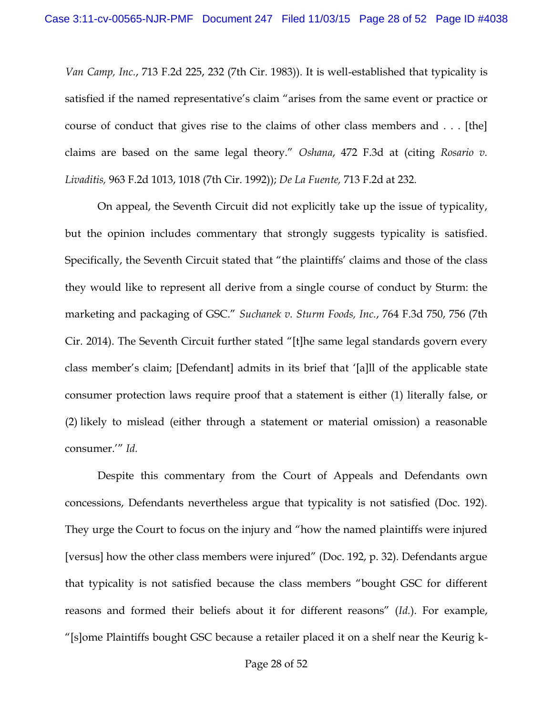*Van Camp, Inc.*, 713 F.2d 225, 232 (7th Cir. 1983)). It is well-established that typicality is satisfied if the named representative's claim "arises from the same event or practice or course of conduct that gives rise to the claims of other class members and . . . [the] claims are based on the same legal theory." *Oshana*, 472 F.3d at (citing *Rosario v. Livaditis,* 963 F.2d 1013, 1018 (7th Cir. 1992)); *De La Fuente,* 713 F.2d at 232.

On appeal, the Seventh Circuit did not explicitly take up the issue of typicality, but the opinion includes commentary that strongly suggests typicality is satisfied. Specifically, the Seventh Circuit stated that "the plaintiffs' claims and those of the class they would like to represent all derive from a single course of conduct by Sturm: the marketing and packaging of GSC." *Suchanek v. Sturm Foods, Inc.*, 764 F.3d 750, 756 (7th Cir. 2014). The Seventh Circuit further stated "[t]he same legal standards govern every class member's claim; [Defendant] admits in its brief that '[a]ll of the applicable state consumer protection laws require proof that a statement is either (1) literally false, or (2) likely to mislead (either through a statement or material omission) a reasonable consumer.'" *Id.* 

Despite this commentary from the Court of Appeals and Defendants own concessions, Defendants nevertheless argue that typicality is not satisfied (Doc. 192). They urge the Court to focus on the injury and "how the named plaintiffs were injured [versus] how the other class members were injured" (Doc. 192, p. 32). Defendants argue that typicality is not satisfied because the class members "bought GSC for different reasons and formed their beliefs about it for different reasons" (*Id.*). For example, "[s]ome Plaintiffs bought GSC because a retailer placed it on a shelf near the Keurig k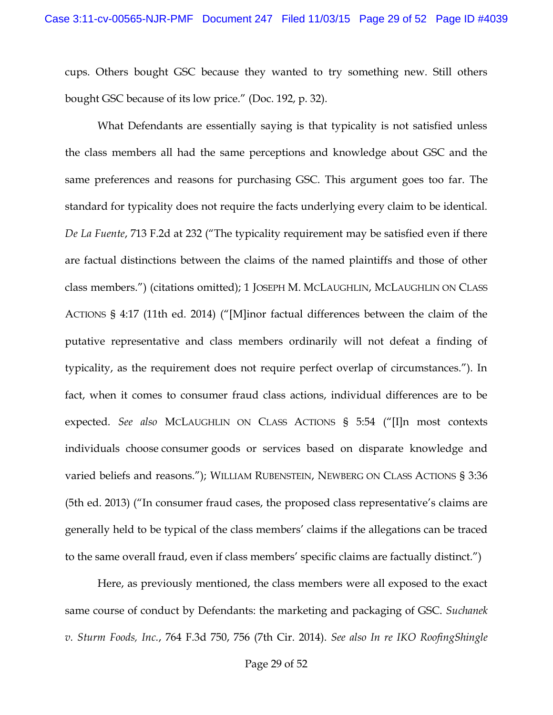cups. Others bought GSC because they wanted to try something new. Still others bought GSC because of its low price." (Doc. 192, p. 32).

What Defendants are essentially saying is that typicality is not satisfied unless the class members all had the same perceptions and knowledge about GSC and the same preferences and reasons for purchasing GSC. This argument goes too far. The standard for typicality does not require the facts underlying every claim to be identical. *De La Fuente*, 713 F.2d at 232 ("The typicality requirement may be satisfied even if there are factual distinctions between the claims of the named plaintiffs and those of other class members.") (citations omitted); 1 JOSEPH M. MCLAUGHLIN, MCLAUGHLIN ON CLASS ACTIONS § 4:17 (11th ed. 2014) ("[M]inor factual differences between the claim of the putative representative and class members ordinarily will not defeat a finding of typicality, as the requirement does not require perfect overlap of circumstances."). In fact, when it comes to consumer fraud class actions, individual differences are to be expected. *See also* MCLAUGHLIN ON CLASS ACTIONS § 5:54 ("[I]n most contexts individuals choose consumer goods or services based on disparate knowledge and varied beliefs and reasons."); WILLIAM RUBENSTEIN, NEWBERG ON CLASS ACTIONS § 3:36 (5th ed. 2013) ("In consumer fraud cases, the proposed class representative's claims are generally held to be typical of the class members' claims if the allegations can be traced to the same overall fraud, even if class members' specific claims are factually distinct.")

Here, as previously mentioned, the class members were all exposed to the exact same course of conduct by Defendants: the marketing and packaging of GSC. *Suchanek v. Sturm Foods, Inc.*, 764 F.3d 750, 756 (7th Cir. 2014). *See also In re IKO RoofingShingle*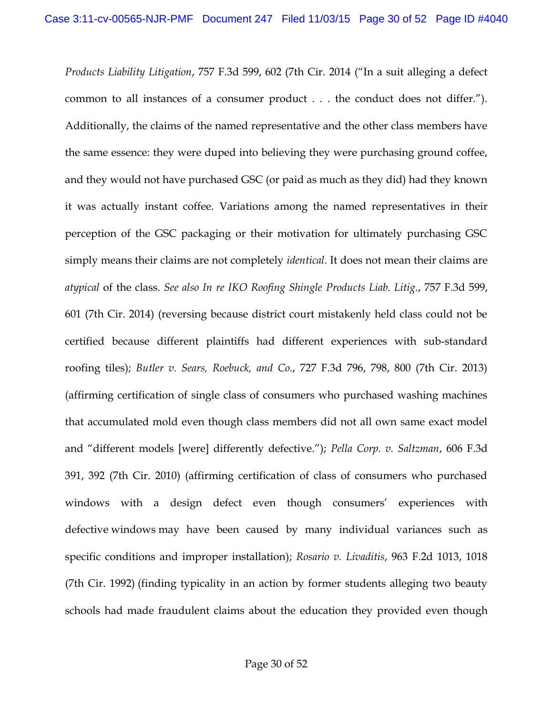*Products Liability Litigation*, 757 F.3d 599, 602 (7th Cir. 2014 ("In a suit alleging a defect common to all instances of a consumer product . . . the conduct does not differ."). Additionally, the claims of the named representative and the other class members have the same essence: they were duped into believing they were purchasing ground coffee, and they would not have purchased GSC (or paid as much as they did) had they known it was actually instant coffee. Variations among the named representatives in their perception of the GSC packaging or their motivation for ultimately purchasing GSC simply means their claims are not completely *identical*. It does not mean their claims are *atypical* of the class. *See also In re IKO Roofing Shingle Products Liab. Litig.*, 757 F.3d 599, 601 (7th Cir. 2014) (reversing because district court mistakenly held class could not be certified because different plaintiffs had different experiences with sub-standard roofing tiles); *Butler v. Sears, Roebuck, and Co.*, 727 F.3d 796, 798, 800 (7th Cir. 2013) (affirming certification of single class of consumers who purchased washing machines that accumulated mold even though class members did not all own same exact model and "different models [were] differently defective."); *Pella Corp. v. Saltzman*, 606 F.3d 391, 392 (7th Cir. 2010) (affirming certification of class of consumers who purchased windows with a design defect even though consumers' experiences with defective windows may have been caused by many individual variances such as specific conditions and improper installation); *Rosario v. Livaditis*, 963 F.2d 1013, 1018 (7th Cir. 1992) (finding typicality in an action by former students alleging two beauty schools had made fraudulent claims about the education they provided even though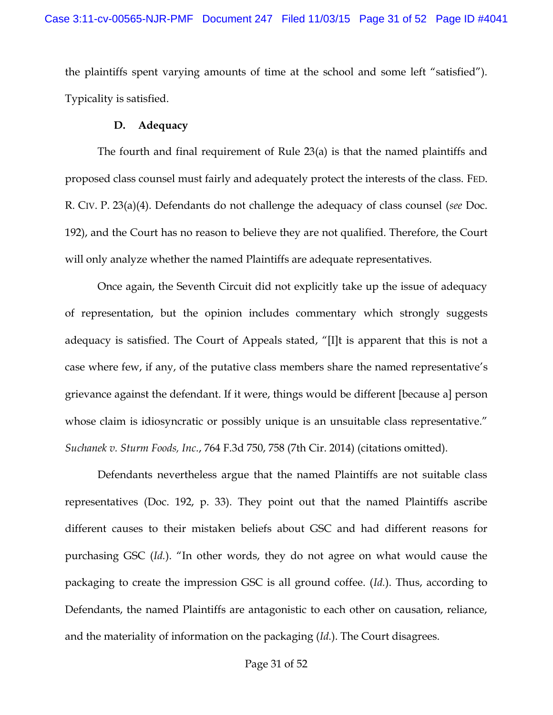the plaintiffs spent varying amounts of time at the school and some left "satisfied"). Typicality is satisfied.

### **D. Adequacy**

The fourth and final requirement of Rule 23(a) is that the named plaintiffs and proposed class counsel must fairly and adequately protect the interests of the class. FED. R. CIV. P. 23(a)(4). Defendants do not challenge the adequacy of class counsel (*see* Doc. 192), and the Court has no reason to believe they are not qualified. Therefore, the Court will only analyze whether the named Plaintiffs are adequate representatives.

Once again, the Seventh Circuit did not explicitly take up the issue of adequacy of representation, but the opinion includes commentary which strongly suggests adequacy is satisfied. The Court of Appeals stated, "[I]t is apparent that this is not a case where few, if any, of the putative class members share the named representative's grievance against the defendant. If it were, things would be different [because a] person whose claim is idiosyncratic or possibly unique is an unsuitable class representative." *Suchanek v. Sturm Foods, Inc.*, 764 F.3d 750, 758 (7th Cir. 2014) (citations omitted).

Defendants nevertheless argue that the named Plaintiffs are not suitable class representatives (Doc. 192, p. 33). They point out that the named Plaintiffs ascribe different causes to their mistaken beliefs about GSC and had different reasons for purchasing GSC (*Id.*). "In other words, they do not agree on what would cause the packaging to create the impression GSC is all ground coffee. (*Id.*). Thus, according to Defendants, the named Plaintiffs are antagonistic to each other on causation, reliance, and the materiality of information on the packaging (*Id.*). The Court disagrees.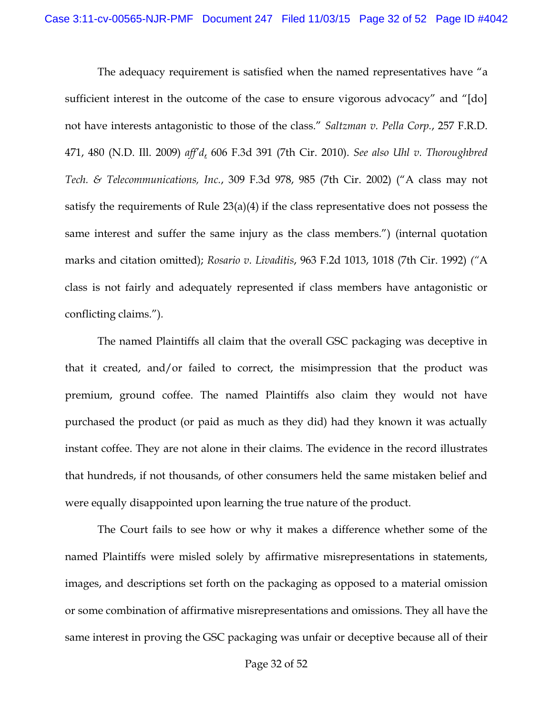The adequacy requirement is satisfied when the named representatives have "a sufficient interest in the outcome of the case to ensure vigorous advocacy" and "[do] not have interests antagonistic to those of the class." *Saltzman v. Pella Corp.*, 257 F.R.D. 471, 480 (N.D. Ill. 2009) *aff'd*, 606 F.3d 391 (7th Cir. 2010). *See also Uhl v. Thoroughbred Tech. & Telecommunications, Inc.*, 309 F.3d 978, 985 (7th Cir. 2002) ("A class may not satisfy the requirements of Rule 23(a)(4) if the class representative does not possess the same interest and suffer the same injury as the class members.") (internal quotation marks and citation omitted); *Rosario v. Livaditis*, 963 F.2d 1013, 1018 (7th Cir. 1992) *("*A class is not fairly and adequately represented if class members have antagonistic or conflicting claims.")*.*

The named Plaintiffs all claim that the overall GSC packaging was deceptive in that it created, and/or failed to correct, the misimpression that the product was premium, ground coffee. The named Plaintiffs also claim they would not have purchased the product (or paid as much as they did) had they known it was actually instant coffee. They are not alone in their claims. The evidence in the record illustrates that hundreds, if not thousands, of other consumers held the same mistaken belief and were equally disappointed upon learning the true nature of the product.

The Court fails to see how or why it makes a difference whether some of the named Plaintiffs were misled solely by affirmative misrepresentations in statements, images, and descriptions set forth on the packaging as opposed to a material omission or some combination of affirmative misrepresentations and omissions. They all have the same interest in proving the GSC packaging was unfair or deceptive because all of their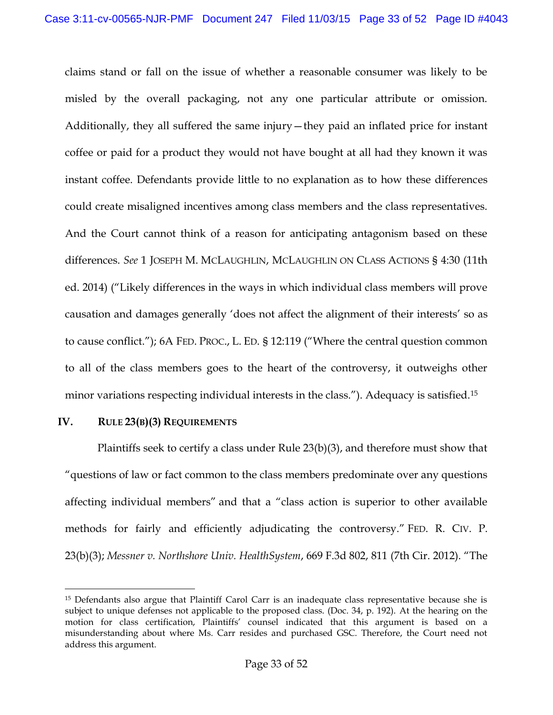claims stand or fall on the issue of whether a reasonable consumer was likely to be misled by the overall packaging, not any one particular attribute or omission. Additionally, they all suffered the same injury—they paid an inflated price for instant coffee or paid for a product they would not have bought at all had they known it was instant coffee. Defendants provide little to no explanation as to how these differences could create misaligned incentives among class members and the class representatives. And the Court cannot think of a reason for anticipating antagonism based on these differences. *See* 1 JOSEPH M. MCLAUGHLIN, MCLAUGHLIN ON CLASS ACTIONS § 4:30 (11th ed. 2014) ("Likely differences in the ways in which individual class members will prove causation and damages generally 'does not affect the alignment of their interests' so as to cause conflict."); 6A FED. PROC., L. ED. § 12:119 ("Where the central question common to all of the class members goes to the heart of the controversy, it outweighs other minor variations respecting individual interests in the class."). Adequacy is satisfied.<sup>15</sup>

# **IV. RULE 23(B)(3) REQUIREMENTS**

 $\overline{\phantom{a}}$ 

Plaintiffs seek to certify a class under Rule 23(b)(3), and therefore must show that "questions of law or fact common to the class members predominate over any questions affecting individual members" and that a "class action is superior to other available methods for fairly and efficiently adjudicating the controversy." FED. R. CIV. P. 23(b)(3); *Messner v. Northshore Univ. HealthSystem*, 669 F.3d 802, 811 (7th Cir. 2012). "The

<sup>15</sup> Defendants also argue that Plaintiff Carol Carr is an inadequate class representative because she is subject to unique defenses not applicable to the proposed class. (Doc. 34, p. 192). At the hearing on the motion for class certification, Plaintiffs' counsel indicated that this argument is based on a misunderstanding about where Ms. Carr resides and purchased GSC. Therefore, the Court need not address this argument.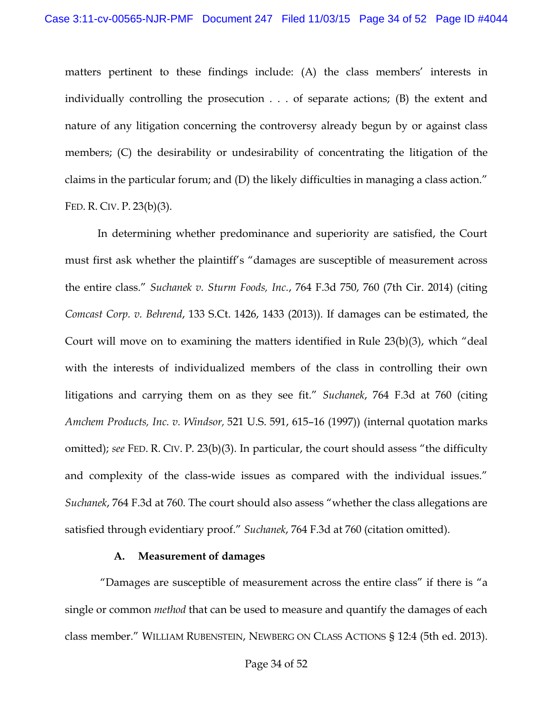matters pertinent to these findings include: (A) the class members' interests in individually controlling the prosecution . . . of separate actions; (B) the extent and nature of any litigation concerning the controversy already begun by or against class members; (C) the desirability or undesirability of concentrating the litigation of the claims in the particular forum; and (D) the likely difficulties in managing a class action." FED. R. CIV. P. 23(b)(3).

In determining whether predominance and superiority are satisfied, the Court must first ask whether the plaintiff's "damages are susceptible of measurement across the entire class." *Suchanek v. Sturm Foods, Inc.*, 764 F.3d 750, 760 (7th Cir. 2014) (citing *Comcast Corp. v. Behrend*, 133 S.Ct. 1426, 1433 (2013)). If damages can be estimated, the Court will move on to examining the matters identified in Rule 23(b)(3), which "deal with the interests of individualized members of the class in controlling their own litigations and carrying them on as they see fit." *Suchanek*, 764 F.3d at 760 (citing *Amchem Products, Inc. v. Windsor,* 521 U.S. 591, 615–16 (1997)) (internal quotation marks omitted); *see* FED. R. CIV. P. 23(b)(3). In particular, the court should assess "the difficulty and complexity of the class-wide issues as compared with the individual issues." *Suchanek*, 764 F.3d at 760. The court should also assess "whether the class allegations are satisfied through evidentiary proof." *Suchanek*, 764 F.3d at 760 (citation omitted).

### **A. Measurement of damages**

"Damages are susceptible of measurement across the entire class" if there is "a single or common *method* that can be used to measure and quantify the damages of each class member." WILLIAM RUBENSTEIN, NEWBERG ON CLASS ACTIONS § 12:4 (5th ed. 2013).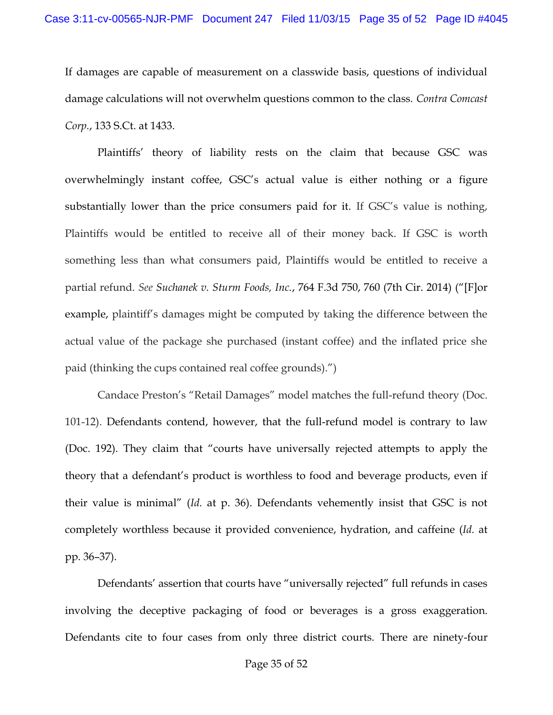If damages are capable of measurement on a classwide basis, questions of individual damage calculations will not overwhelm questions common to the class. *Contra Comcast Corp.*, 133 S.Ct. at 1433.

Plaintiffs' theory of liability rests on the claim that because GSC was overwhelmingly instant coffee, GSC's actual value is either nothing or a figure substantially lower than the price consumers paid for it. If GSC's value is nothing, Plaintiffs would be entitled to receive all of their money back. If GSC is worth something less than what consumers paid, Plaintiffs would be entitled to receive a partial refund. *See Suchanek v. Sturm Foods, Inc.*, 764 F.3d 750, 760 (7th Cir. 2014) ("[F]or example, plaintiff's damages might be computed by taking the difference between the actual value of the package she purchased (instant coffee) and the inflated price she paid (thinking the cups contained real coffee grounds).")

Candace Preston's "Retail Damages" model matches the full-refund theory (Doc. 101-12). Defendants contend, however, that the full-refund model is contrary to law (Doc. 192). They claim that "courts have universally rejected attempts to apply the theory that a defendant's product is worthless to food and beverage products, even if their value is minimal" (*Id.* at p. 36). Defendants vehemently insist that GSC is not completely worthless because it provided convenience, hydration, and caffeine (*Id.* at pp. 36–37).

Defendants' assertion that courts have "universally rejected" full refunds in cases involving the deceptive packaging of food or beverages is a gross exaggeration. Defendants cite to four cases from only three district courts. There are ninety-four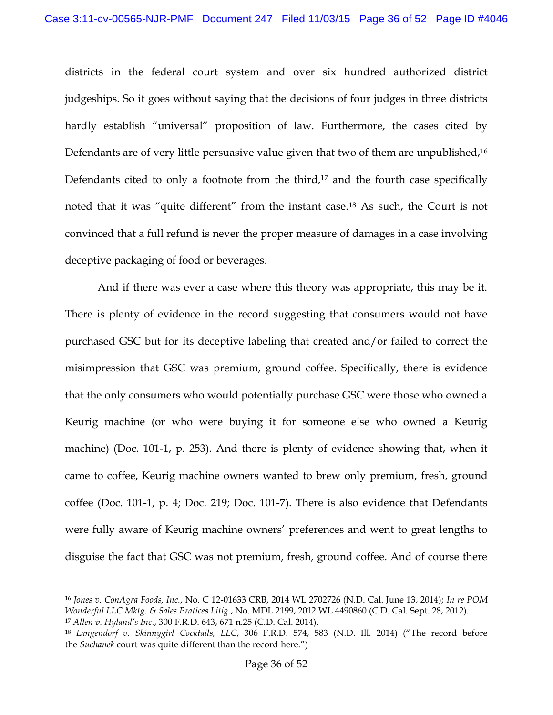districts in the federal court system and over six hundred authorized district judgeships. So it goes without saying that the decisions of four judges in three districts hardly establish "universal" proposition of law. Furthermore, the cases cited by Defendants are of very little persuasive value given that two of them are unpublished,<sup>16</sup> Defendants cited to only a footnote from the third, $17$  and the fourth case specifically noted that it was "quite different" from the instant case.<sup>18</sup> As such, the Court is not convinced that a full refund is never the proper measure of damages in a case involving deceptive packaging of food or beverages.

And if there was ever a case where this theory was appropriate, this may be it. There is plenty of evidence in the record suggesting that consumers would not have purchased GSC but for its deceptive labeling that created and/or failed to correct the misimpression that GSC was premium, ground coffee. Specifically, there is evidence that the only consumers who would potentially purchase GSC were those who owned a Keurig machine (or who were buying it for someone else who owned a Keurig machine) (Doc. 101-1, p. 253). And there is plenty of evidence showing that, when it came to coffee, Keurig machine owners wanted to brew only premium, fresh, ground coffee (Doc. 101-1, p. 4; Doc. 219; Doc. 101-7). There is also evidence that Defendants were fully aware of Keurig machine owners' preferences and went to great lengths to disguise the fact that GSC was not premium, fresh, ground coffee. And of course there

<sup>16</sup> *Jones v. ConAgra Foods, Inc.*, No. C 12-01633 CRB, 2014 WL 2702726 (N.D. Cal. June 13, 2014); *In re POM Wonderful LLC Mktg. & Sales Pratices Litig.*, No. MDL 2199, 2012 WL 4490860 (C.D. Cal. Sept. 28, 2012). <sup>17</sup> *Allen v. Hyland's Inc.*, 300 F.R.D. 643, 671 n.25 (C.D. Cal. 2014).

<sup>18</sup> *Langendorf v. Skinnygirl Cocktails, LLC*, 306 F.R.D. 574, 583 (N.D. Ill. 2014) ("The record before the *[Suchanek](https://a.next.westlaw.com/Link/Document/FullText?findType=Y&serNum=2034181353&pubNum=0000506&originatingDoc=I624b80b0612f11e48a659e8e19b67796&refType=RP&originationContext=document&transitionType=DocumentItem&contextData=(sc.Search))* court was quite different than the record here.")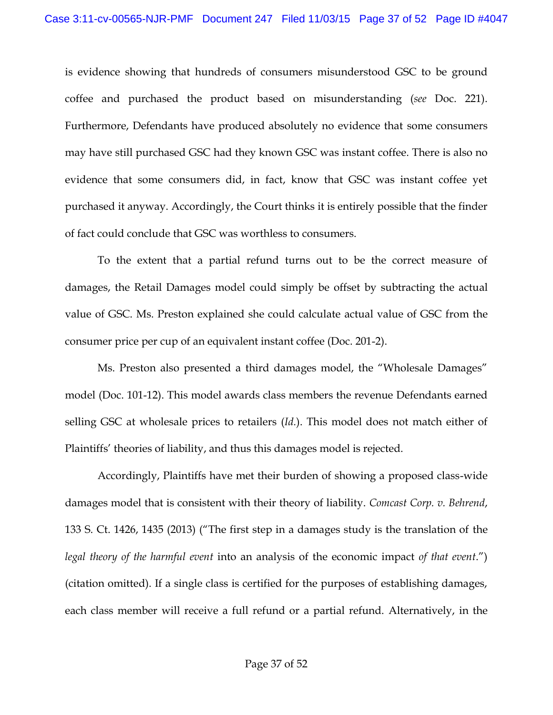is evidence showing that hundreds of consumers misunderstood GSC to be ground coffee and purchased the product based on misunderstanding (*see* Doc. 221). Furthermore, Defendants have produced absolutely no evidence that some consumers may have still purchased GSC had they known GSC was instant coffee. There is also no evidence that some consumers did, in fact, know that GSC was instant coffee yet purchased it anyway. Accordingly, the Court thinks it is entirely possible that the finder of fact could conclude that GSC was worthless to consumers.

To the extent that a partial refund turns out to be the correct measure of damages, the Retail Damages model could simply be offset by subtracting the actual value of GSC. Ms. Preston explained she could calculate actual value of GSC from the consumer price per cup of an equivalent instant coffee (Doc. 201-2).

Ms. Preston also presented a third damages model, the "Wholesale Damages" model (Doc. 101-12). This model awards class members the revenue Defendants earned selling GSC at wholesale prices to retailers (*Id.*). This model does not match either of Plaintiffs' theories of liability, and thus this damages model is rejected.

Accordingly, Plaintiffs have met their burden of showing a proposed class-wide damages model that is consistent with their theory of liability. *Comcast Corp. v. Behrend*, 133 S. Ct. 1426, 1435 (2013) ("The first step in a damages study is the translation of the *legal theory of the harmful event* into an analysis of the economic impact *of that event*.") (citation omitted). If a single class is certified for the purposes of establishing damages, each class member will receive a full refund or a partial refund. Alternatively, in the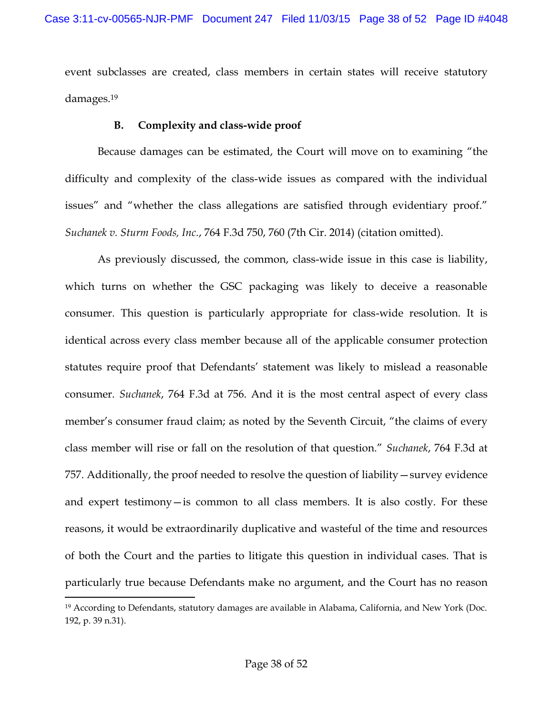event subclasses are created, class members in certain states will receive statutory damages. 19

# **B. Complexity and class-wide proof**

Because damages can be estimated, the Court will move on to examining "the difficulty and complexity of the class-wide issues as compared with the individual issues" and "whether the class allegations are satisfied through evidentiary proof." *Suchanek v. Sturm Foods, Inc.*, 764 F.3d 750, 760 (7th Cir. 2014) (citation omitted).

As previously discussed, the common, class-wide issue in this case is liability, which turns on whether the GSC packaging was likely to deceive a reasonable consumer. This question is particularly appropriate for class-wide resolution. It is identical across every class member because all of the applicable consumer protection statutes require proof that Defendants' statement was likely to mislead a reasonable consumer. *Suchanek*, 764 F.3d at 756. And it is the most central aspect of every class member's consumer fraud claim; as noted by the Seventh Circuit, "the claims of every class member will rise or fall on the resolution of that question." *Suchanek*, 764 F.3d at 757. Additionally, the proof needed to resolve the question of liability—survey evidence and expert testimony—is common to all class members. It is also costly. For these reasons, it would be extraordinarily duplicative and wasteful of the time and resources of both the Court and the parties to litigate this question in individual cases. That is particularly true because Defendants make no argument, and the Court has no reason

<sup>19</sup> According to Defendants, statutory damages are available in Alabama, California, and New York (Doc. 192, p. 39 n.31).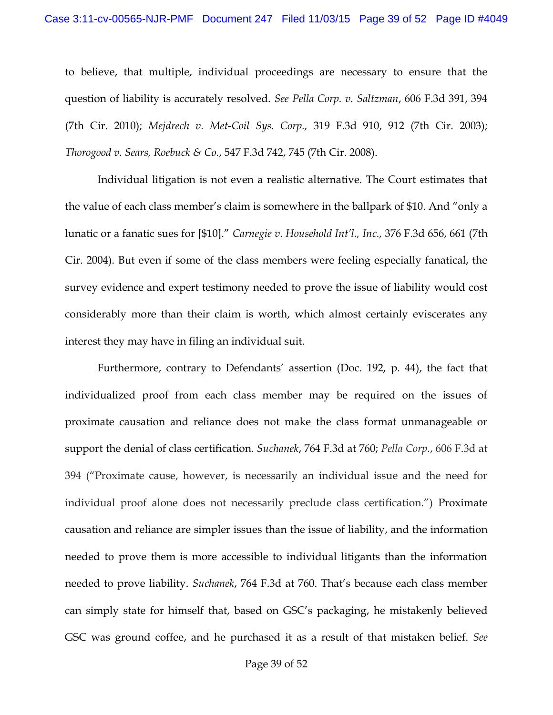to believe, that multiple, individual proceedings are necessary to ensure that the question of liability is accurately resolved. *See Pella Corp. v. Saltzman*, 606 F.3d 391, 394 (7th Cir. 2010); *Mejdrech v. Met-Coil Sys. Corp.,* 319 F.3d 910, 912 (7th Cir. 2003); *Thorogood v. Sears, Roebuck & Co.*, 547 F.3d 742, 745 (7th Cir. 2008).

Individual litigation is not even a realistic alternative. The Court estimates that the value of each class member's claim is somewhere in the ballpark of \$10. And "only a lunatic or a fanatic sues for [\$10]." *Carnegie v. Household Int'l., Inc.,* 376 F.3d 656, 661 (7th Cir. 2004). But even if some of the class members were feeling especially fanatical, the survey evidence and expert testimony needed to prove the issue of liability would cost considerably more than their claim is worth, which almost certainly eviscerates any interest they may have in filing an individual suit.

Furthermore, contrary to Defendants' assertion (Doc. 192, p. 44), the fact that individualized proof from each class member may be required on the issues of proximate causation and reliance does not make the class format unmanageable or support the denial of class certification. *Suchanek*, 764 F.3d at 760; *Pella Corp.*, 606 F.3d at 394 ("Proximate cause, however, is necessarily an individual issue and the need for individual proof alone does not necessarily preclude class certification.") Proximate causation and reliance are simpler issues than the issue of liability, and the information needed to prove them is more accessible to individual litigants than the information needed to prove liability. *Suchanek*, 764 F.3d at 760. That's because each class member can simply state for himself that, based on GSC's packaging, he mistakenly believed GSC was ground coffee, and he purchased it as a result of that mistaken belief. *See*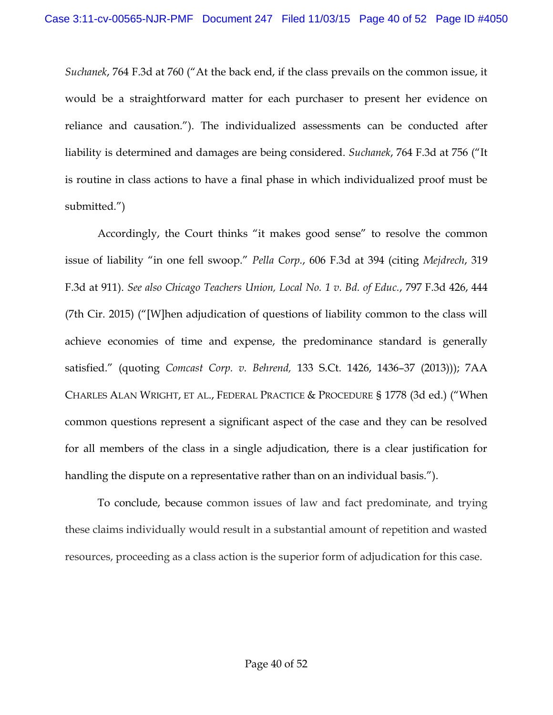*Suchanek*, 764 F.3d at 760 ("At the back end, if the class prevails on the common issue, it would be a straightforward matter for each purchaser to present her evidence on reliance and causation."). The individualized assessments can be conducted after liability is determined and damages are being considered. *Suchanek*, 764 F.3d at 756 ("It is routine in class actions to have a final phase in which individualized proof must be submitted.")

Accordingly, the Court thinks "it makes good sense" to resolve the common issue of liability "in one fell swoop." *Pella Corp.*, 606 F.3d at 394 (citing *Mejdrech*, 319 F.3d at 911). *See also Chicago Teachers Union, Local No. 1 v. Bd. of Educ.*, 797 F.3d 426, 444 (7th Cir. 2015) ("[W]hen adjudication of questions of liability common to the class will achieve economies of time and expense, the predominance standard is generally satisfied." (quoting *Comcast Corp. v. Behrend,* 133 S.Ct. 1426, 1436–37 (2013))); 7AA CHARLES ALAN WRIGHT, ET AL., FEDERAL PRACTICE & PROCEDURE § 1778 (3d ed.) ("When common questions represent a significant aspect of the case and they can be resolved for all members of the class in a single adjudication, there is a clear justification for handling the dispute on a representative rather than on an individual basis.").

To conclude, because common issues of law and fact predominate, and trying these claims individually would result in a substantial amount of repetition and wasted resources, proceeding as a class action is the superior form of adjudication for this case.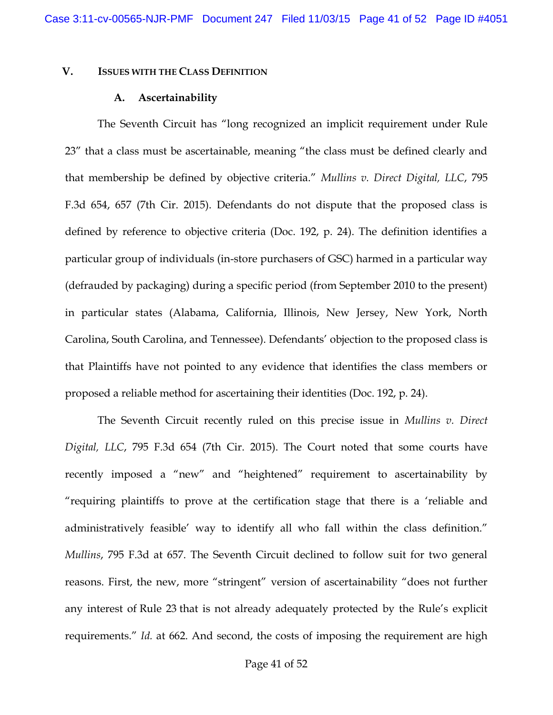### **V. ISSUES WITH THE CLASS DEFINITION**

#### **A. Ascertainability**

The Seventh Circuit has "long recognized an implicit requirement under Rule 23" that a class must be ascertainable, meaning "the class must be defined clearly and that membership be defined by objective criteria." *Mullins v. Direct Digital, LLC*, 795 F.3d 654, 657 (7th Cir. 2015). Defendants do not dispute that the proposed class is defined by reference to objective criteria (Doc. 192, p. 24). The definition identifies a particular group of individuals (in-store purchasers of GSC) harmed in a particular way (defrauded by packaging) during a specific period (from September 2010 to the present) in particular states (Alabama, California, Illinois, New Jersey, New York, North Carolina, South Carolina, and Tennessee). Defendants' objection to the proposed class is that Plaintiffs have not pointed to any evidence that identifies the class members or proposed a reliable method for ascertaining their identities (Doc. 192, p. 24).

The Seventh Circuit recently ruled on this precise issue in *Mullins v. Direct Digital, LLC*, 795 F.3d 654 (7th Cir. 2015). The Court noted that some courts have recently imposed a "new" and "heightened" requirement to ascertainability by "requiring plaintiffs to prove at the certification stage that there is a 'reliable and administratively feasible' way to identify all who fall within the class definition." *Mullins*, 795 F.3d at 657. The Seventh Circuit declined to follow suit for two general reasons. First, the new, more "stringent" version of ascertainability "does not further any interest of Rule 23 that is not already adequately protected by the Rule's explicit requirements." *Id.* at 662. And second, the costs of imposing the requirement are high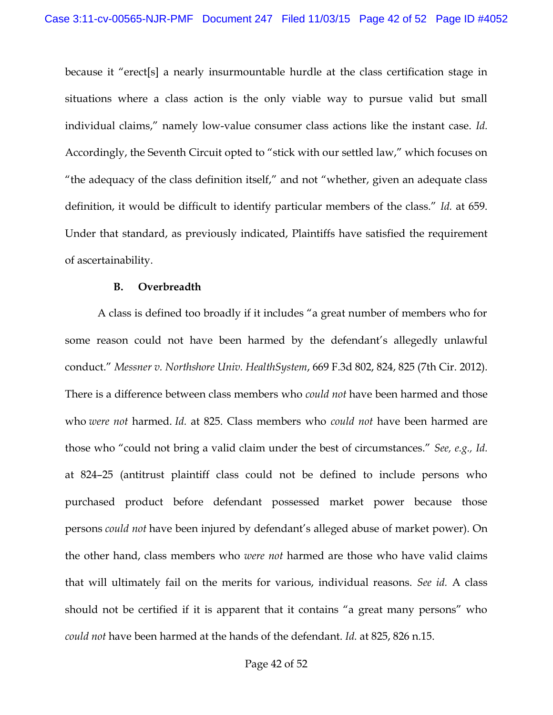because it "erect[s] a nearly insurmountable hurdle at the class certification stage in situations where a class action is the only viable way to pursue valid but small individual claims," namely low-value consumer class actions like the instant case. *Id.* Accordingly, the Seventh Circuit opted to "stick with our settled law," which focuses on "the adequacy of the class definition itself," and not "whether, given an adequate class definition, it would be difficult to identify particular members of the class." *Id.* at 659. Under that standard, as previously indicated, Plaintiffs have satisfied the requirement of ascertainability.

#### **B. Overbreadth**

A class is defined too broadly if it includes "a great number of members who for some reason could not have been harmed by the defendant's allegedly unlawful conduct." *Messner v. Northshore Univ. HealthSystem*, 669 F.3d 802, 824, 825 (7th Cir. 2012). There is a difference between class members who *could not* have been harmed and those who *were not* harmed. *Id.* at 825. Class members who *could not* have been harmed are those who "could not bring a valid claim under the best of circumstances." *See, e.g., Id.* at 824–25 (antitrust plaintiff class could not be defined to include persons who purchased product before defendant possessed market power because those persons *could not* have been injured by defendant's alleged abuse of market power). On the other hand, class members who *were not* harmed are those who have valid claims that will ultimately fail on the merits for various, individual reasons. *See id.* A class should not be certified if it is apparent that it contains "a great many persons" who *could not* have been harmed at the hands of the defendant. *Id.* at 825, 826 n.15.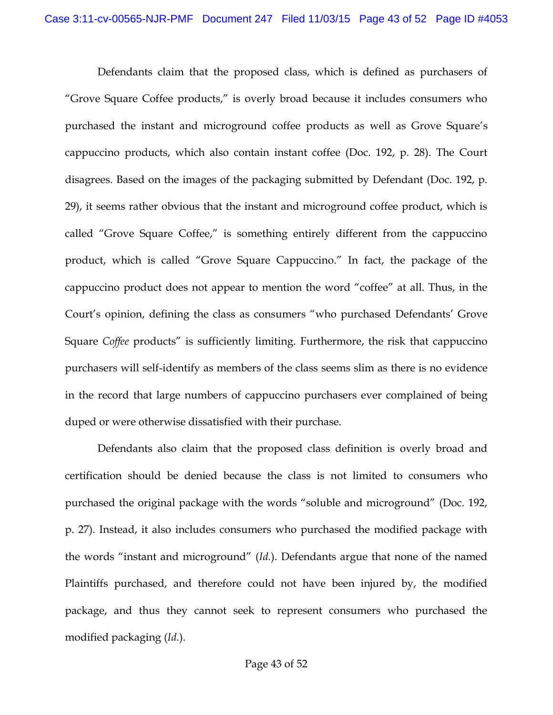Defendants claim that the proposed class, which is defined as purchasers of "Grove Square Coffee products," is overly broad because it includes consumers who purchased the instant and microground coffee products as well as Grove Square's cappuccino products, which also contain instant coffee (Doc. 192, p. 28). The Court disagrees. Based on the images of the packaging submitted by Defendant (Doc. 192, p. 29), it seems rather obvious that the instant and microground coffee product, which is called "Grove Square Coffee," is something entirely different from the cappuccino product, which is called "Grove Square Cappuccino." In fact, the package of the cappuccino product does not appear to mention the word "coffee" at all. Thus, in the Court's opinion, defining the class as consumers "who purchased Defendants' Grove Square *Coffee* products" is sufficiently limiting. Furthermore, the risk that cappuccino purchasers will self-identify as members of the class seems slim as there is no evidence in the record that large numbers of cappuccino purchasers ever complained of being duped or were otherwise dissatisfied with their purchase.

Defendants also claim that the proposed class definition is overly broad and certification should be denied because the class is not limited to consumers who purchased the original package with the words "soluble and microground" (Doc. 192, p. 27). Instead, it also includes consumers who purchased the modified package with the words "instant and microground" (*Id.*). Defendants argue that none of the named Plaintiffs purchased, and therefore could not have been injured by, the modified package, and thus they cannot seek to represent consumers who purchased the modified packaging (*Id.*).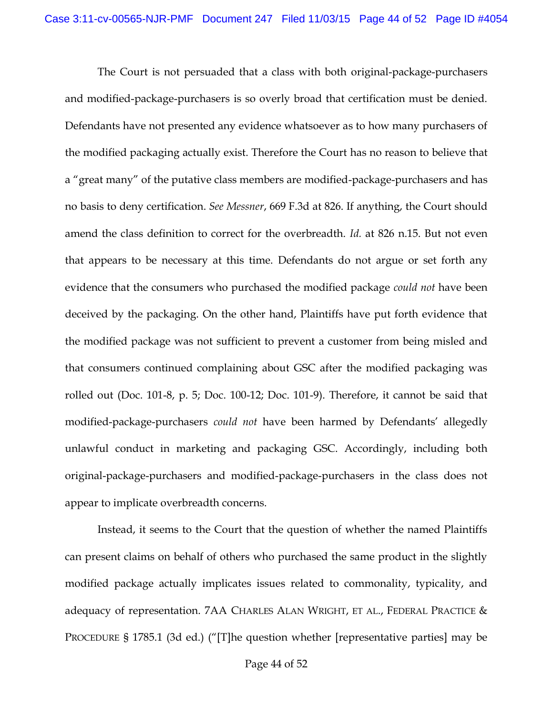The Court is not persuaded that a class with both original-package-purchasers and modified-package-purchasers is so overly broad that certification must be denied. Defendants have not presented any evidence whatsoever as to how many purchasers of the modified packaging actually exist. Therefore the Court has no reason to believe that a "great many" of the putative class members are modified-package-purchasers and has no basis to deny certification. *See Messner*, 669 F.3d at 826. If anything, the Court should amend the class definition to correct for the overbreadth. *Id.* at 826 n.15. But not even that appears to be necessary at this time. Defendants do not argue or set forth any evidence that the consumers who purchased the modified package *could not* have been deceived by the packaging. On the other hand, Plaintiffs have put forth evidence that the modified package was not sufficient to prevent a customer from being misled and that consumers continued complaining about GSC after the modified packaging was rolled out (Doc. 101-8, p. 5; Doc. 100-12; Doc. 101-9). Therefore, it cannot be said that modified-package-purchasers *could not* have been harmed by Defendants' allegedly unlawful conduct in marketing and packaging GSC. Accordingly, including both original-package-purchasers and modified-package-purchasers in the class does not appear to implicate overbreadth concerns.

Instead, it seems to the Court that the question of whether the named Plaintiffs can present claims on behalf of others who purchased the same product in the slightly modified package actually implicates issues related to commonality, typicality, and adequacy of representation. 7AA CHARLES ALAN WRIGHT, ET AL., FEDERAL PRACTICE & PROCEDURE § 1785.1 (3d ed.) ("[T]he question whether [representative parties] may be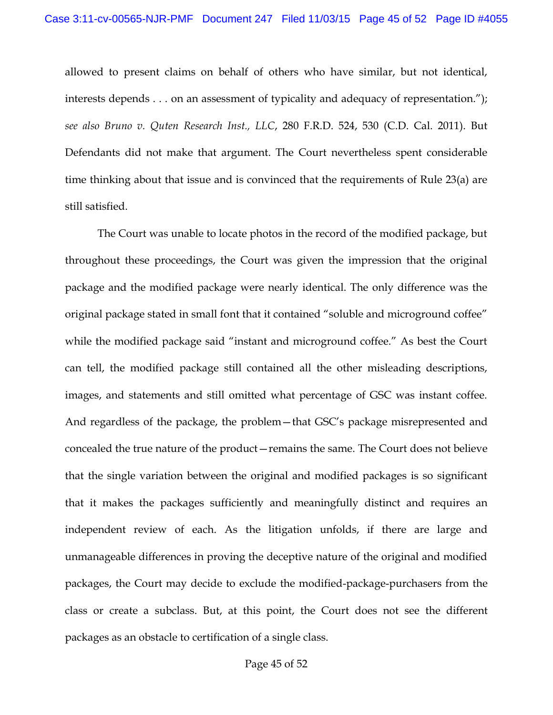allowed to present claims on behalf of others who have similar, but not identical, interests depends . . . on an assessment of typicality and adequacy of representation."); *see also Bruno v. Quten Research Inst., LLC*, 280 F.R.D. 524, 530 (C.D. Cal. 2011). But Defendants did not make that argument. The Court nevertheless spent considerable time thinking about that issue and is convinced that the requirements of Rule 23(a) are still satisfied.

The Court was unable to locate photos in the record of the modified package, but throughout these proceedings, the Court was given the impression that the original package and the modified package were nearly identical. The only difference was the original package stated in small font that it contained "soluble and microground coffee" while the modified package said "instant and microground coffee." As best the Court can tell, the modified package still contained all the other misleading descriptions, images, and statements and still omitted what percentage of GSC was instant coffee. And regardless of the package, the problem—that GSC's package misrepresented and concealed the true nature of the product—remains the same. The Court does not believe that the single variation between the original and modified packages is so significant that it makes the packages sufficiently and meaningfully distinct and requires an independent review of each. As the litigation unfolds, if there are large and unmanageable differences in proving the deceptive nature of the original and modified packages, the Court may decide to exclude the modified-package-purchasers from the class or create a subclass. But, at this point, the Court does not see the different packages as an obstacle to certification of a single class.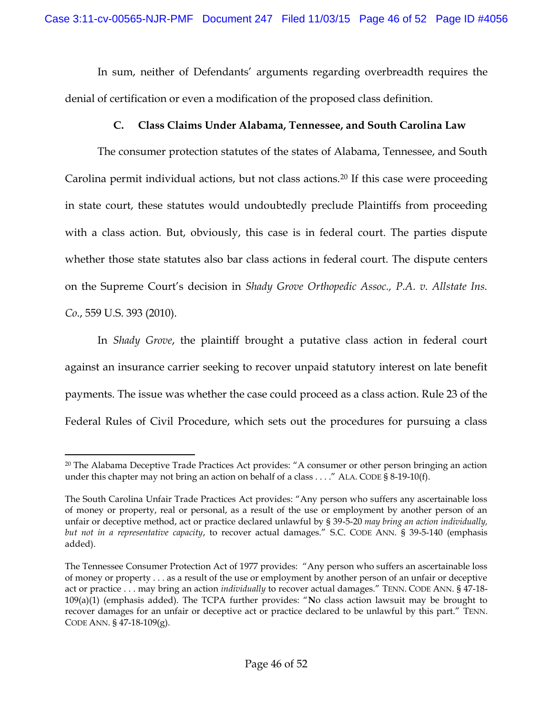In sum, neither of Defendants' arguments regarding overbreadth requires the denial of certification or even a modification of the proposed class definition.

# **C. Class Claims Under Alabama, Tennessee, and South Carolina Law**

The consumer protection statutes of the states of Alabama, Tennessee, and South Carolina permit individual actions, but not class actions.<sup>20</sup> If this case were proceeding in state court, these statutes would undoubtedly preclude Plaintiffs from proceeding with a class action. But, obviously, this case is in federal court. The parties dispute whether those state statutes also bar class actions in federal court. The dispute centers on the Supreme Court's decision in *Shady Grove Orthopedic Assoc., P.A. v. Allstate Ins. Co*., 559 U.S. 393 (2010).

In *Shady Grove*, the plaintiff brought a putative class action in federal court against an insurance carrier seeking to recover unpaid statutory interest on late benefit payments. The issue was whether the case could proceed as a class action. Rule 23 of the Federal Rules of Civil Procedure, which sets out the procedures for pursuing a class

<sup>&</sup>lt;sup>20</sup> The Alabama Deceptive Trade Practices Act provides: "A consumer or other person bringing an action under this chapter may not bring an action on behalf of a class  $\dots$ ." ALA. CODE § 8-19-10(f).

The South Carolina Unfair Trade Practices Act provides: "Any person who suffers any ascertainable loss of money or property, real or personal, as a result of the use or employment by another person of an unfair or deceptive method, act or practice declared unlawful by § 39-5-20 *may bring an action individually, but not in a representative capacity*, to recover actual damages." S.C. CODE ANN. § 39-5-140 (emphasis added).

The Tennessee Consumer Protection Act of 1977 provides: "Any person who suffers an ascertainable loss of money or property . . . as a result of the use or employment by another person of an unfair or deceptive act or practice . . . may bring an action *individually* to recover actual damages." TENN. CODE ANN. § 47-18- 109(a)(1) (emphasis added). The TCPA further provides: "**N**o class action lawsuit may be brought to recover damages for an unfair or deceptive act or practice declared to be unlawful by this part." TENN. CODE ANN. § 47-18-109(g).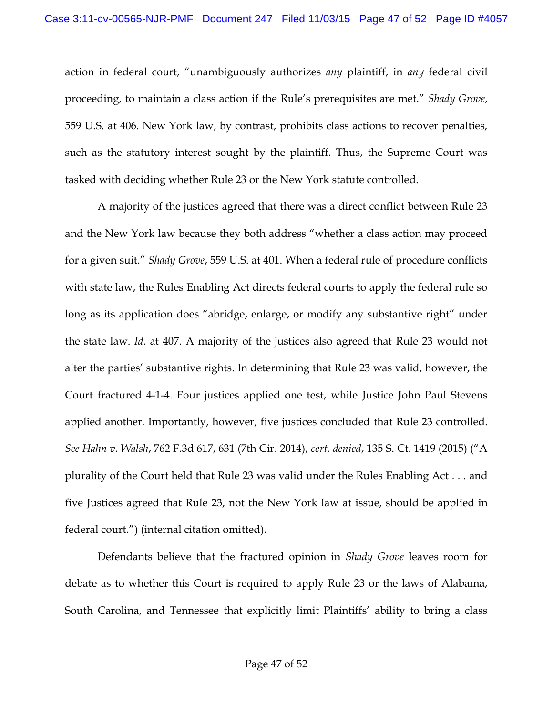action in federal court, "unambiguously authorizes *any* plaintiff, in *any* federal civil proceeding, to maintain a class action if the Rule's prerequisites are met." *Shady Grove*, 559 U.S. at 406. New York law, by contrast, prohibits class actions to recover penalties, such as the statutory interest sought by the plaintiff. Thus, the Supreme Court was tasked with deciding whether Rule 23 or the New York statute controlled.

A majority of the justices agreed that there was a direct conflict between Rule 23 and the New York law because they both address "whether a class action may proceed for a given suit." *Shady Grove*, 559 U.S. at 401. When a federal rule of procedure conflicts with state law, the Rules Enabling Act directs federal courts to apply the federal rule so long as its application does "abridge, enlarge, or modify any substantive right" under the state law. *Id.* at 407. A majority of the justices also agreed that Rule 23 would not alter the parties' substantive rights. In determining that Rule 23 was valid, however, the Court fractured 4-1-4. Four justices applied one test, while Justice John Paul Stevens applied another. Importantly, however, five justices concluded that Rule 23 controlled. *See Hahn v. Walsh*, 762 F.3d 617, 631 (7th Cir. 2014), *cert. denied*, 135 S. Ct. 1419 (2015) ("A plurality of the Court held that Rule 23 was valid under the Rules Enabling Act *. . .* and five Justices agreed that Rule 23, not the New York law at issue, should be applied in federal court.") (internal citation omitted).

Defendants believe that the fractured opinion in *Shady Grove* leaves room for debate as to whether this Court is required to apply Rule 23 or the laws of Alabama, South Carolina, and Tennessee that explicitly limit Plaintiffs' ability to bring a class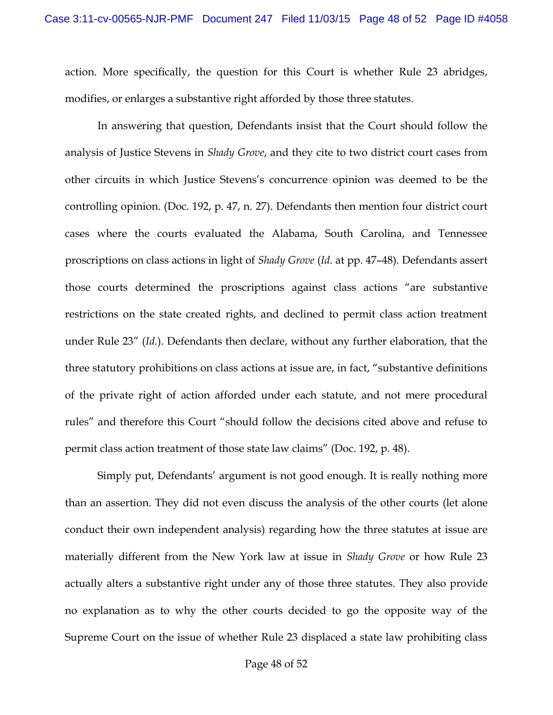action. More specifically, the question for this Court is whether Rule 23 abridges, modifies, or enlarges a substantive right afforded by those three statutes.

In answering that question, Defendants insist that the Court should follow the analysis of Justice Stevens in *Shady Grove*, and they cite to two district court cases from other circuits in which Justice Stevens's concurrence opinion was deemed to be the controlling opinion. (Doc. 192, p. 47, n. 27). Defendants then mention four district court cases where the courts evaluated the Alabama, South Carolina, and Tennessee proscriptions on class actions in light of *Shady Grove* (*Id.* at pp. 47–48)*.* Defendants assert those courts determined the proscriptions against class actions "are substantive restrictions on the state created rights, and declined to permit class action treatment under Rule 23" (*Id.*). Defendants then declare, without any further elaboration, that the three statutory prohibitions on class actions at issue are, in fact, "substantive definitions of the private right of action afforded under each statute, and not mere procedural rules" and therefore this Court "should follow the decisions cited above and refuse to permit class action treatment of those state law claims" (Doc. 192, p. 48).

Simply put, Defendants' argument is not good enough. It is really nothing more than an assertion. They did not even discuss the analysis of the other courts (let alone conduct their own independent analysis) regarding how the three statutes at issue are materially different from the New York law at issue in *Shady Grove* or how Rule 23 actually alters a substantive right under any of those three statutes. They also provide no explanation as to why the other courts decided to go the opposite way of the Supreme Court on the issue of whether Rule 23 displaced a state law prohibiting class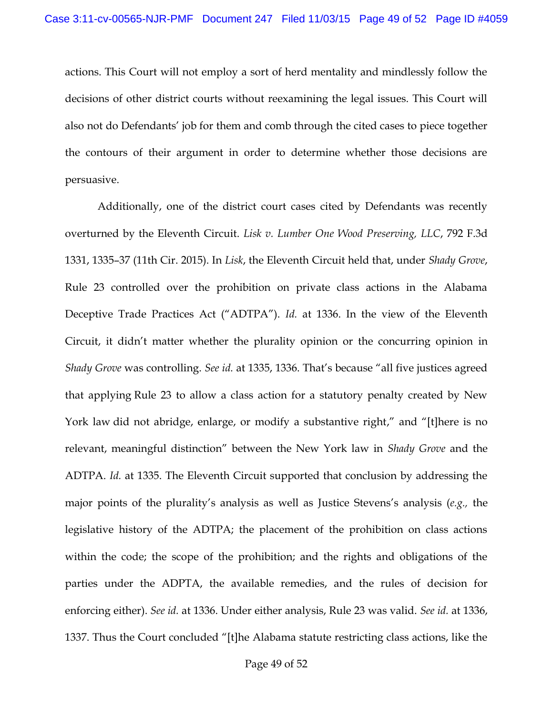actions. This Court will not employ a sort of herd mentality and mindlessly follow the decisions of other district courts without reexamining the legal issues. This Court will also not do Defendants' job for them and comb through the cited cases to piece together the contours of their argument in order to determine whether those decisions are persuasive.

Additionally, one of the district court cases cited by Defendants was recently overturned by the Eleventh Circuit. *Lisk v. Lumber One Wood Preserving, LLC*, 792 F.3d 1331, 1335–37 (11th Cir. 2015). In *Lisk*, the Eleventh Circuit held that, under *Shady Grove*, Rule 23 controlled over the prohibition on private class actions in the Alabama Deceptive Trade Practices Act ("ADTPA"). *Id.* at 1336. In the view of the Eleventh Circuit, it didn't matter whether the plurality opinion or the concurring opinion in *Shady Grove* was controlling. *See id.* at 1335, 1336. That's because "all five justices agreed that applying Rule 23 to allow a class action for a statutory penalty created by New York law did not abridge, enlarge, or modify a substantive right," and "[t]here is no relevant, meaningful distinction" between the New York law in *Shady Grove* and the ADTPA. *Id.* at 1335. The Eleventh Circuit supported that conclusion by addressing the major points of the plurality's analysis as well as Justice Stevens's analysis (*e.g.,* the legislative history of the ADTPA; the placement of the prohibition on class actions within the code; the scope of the prohibition; and the rights and obligations of the parties under the ADPTA, the available remedies, and the rules of decision for enforcing either). *See id.* at 1336. Under either analysis, Rule 23 was valid. *See id.* at 1336, 1337. Thus the Court concluded "[t]he Alabama statute restricting class actions, like the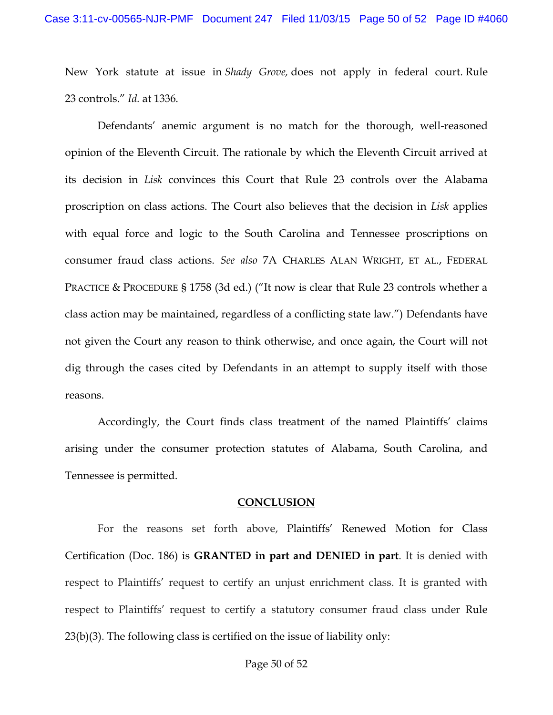New York statute at issue in *Shady Grove,* does not apply in federal court. Rule 23 controls." *Id.* at 1336.

Defendants' anemic argument is no match for the thorough, well-reasoned opinion of the Eleventh Circuit. The rationale by which the Eleventh Circuit arrived at its decision in *Lisk* convinces this Court that Rule 23 controls over the Alabama proscription on class actions. The Court also believes that the decision in *Lisk* applies with equal force and logic to the South Carolina and Tennessee proscriptions on consumer fraud class actions. *See also* 7A CHARLES ALAN WRIGHT, ET AL., FEDERAL PRACTICE & PROCEDURE § 1758 (3d ed.) ("It now is clear that Rule 23 controls whether a class action may be maintained, regardless of a conflicting state law.") Defendants have not given the Court any reason to think otherwise, and once again, the Court will not dig through the cases cited by Defendants in an attempt to supply itself with those reasons.

Accordingly, the Court finds class treatment of the named Plaintiffs' claims arising under the consumer protection statutes of Alabama, South Carolina, and Tennessee is permitted.

#### **CONCLUSION**

For the reasons set forth above, Plaintiffs' Renewed Motion for Class Certification (Doc. 186) is **GRANTED in part and DENIED in part**. It is denied with respect to Plaintiffs' request to certify an unjust enrichment class. It is granted with respect to Plaintiffs' request to certify a statutory consumer fraud class under Rule 23(b)(3). The following class is certified on the issue of liability only: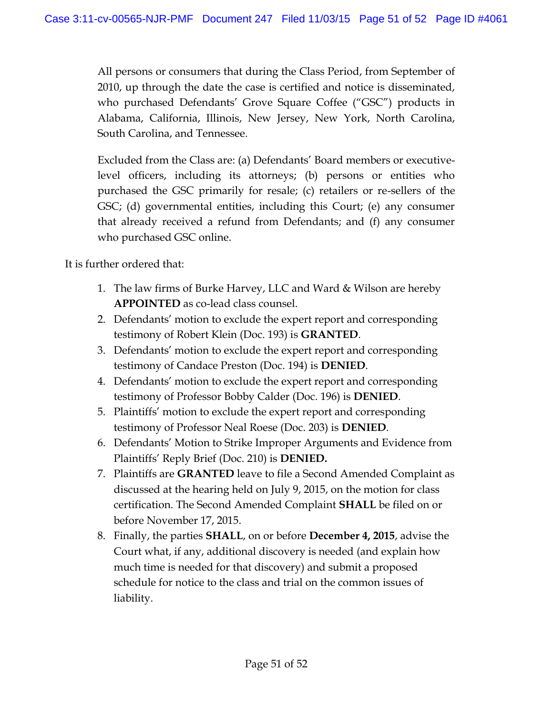All persons or consumers that during the Class Period, from September of 2010, up through the date the case is certified and notice is disseminated, who purchased Defendants' Grove Square Coffee ("GSC") products in Alabama, California, Illinois, New Jersey, New York, North Carolina, South Carolina, and Tennessee.

Excluded from the Class are: (a) Defendants' Board members or executivelevel officers, including its attorneys; (b) persons or entities who purchased the GSC primarily for resale; (c) retailers or re-sellers of the GSC; (d) governmental entities, including this Court; (e) any consumer that already received a refund from Defendants; and (f) any consumer who purchased GSC online.

It is further ordered that:

- 1. The law firms of Burke Harvey, LLC and Ward & Wilson are hereby **APPOINTED** as co-lead class counsel.
- 2. Defendants' motion to exclude the expert report and corresponding testimony of Robert Klein (Doc. 193) is **GRANTED**.
- 3. Defendants' motion to exclude the expert report and corresponding testimony of Candace Preston (Doc. 194) is **DENIED**.
- 4. Defendants' motion to exclude the expert report and corresponding testimony of Professor Bobby Calder (Doc. 196) is **DENIED**.
- 5. Plaintiffs' motion to exclude the expert report and corresponding testimony of Professor Neal Roese (Doc. 203) is **DENIED**.
- 6. Defendants' Motion to Strike Improper Arguments and Evidence from Plaintiffs' Reply Brief (Doc. 210) is **DENIED.**
- 7. Plaintiffs are **GRANTED** leave to file a Second Amended Complaint as discussed at the hearing held on July 9, 2015, on the motion for class certification. The Second Amended Complaint **SHALL** be filed on or before November 17, 2015.
- 8. Finally, the parties **SHALL**, on or before **December 4, 2015**, advise the Court what, if any, additional discovery is needed (and explain how much time is needed for that discovery) and submit a proposed schedule for notice to the class and trial on the common issues of liability.